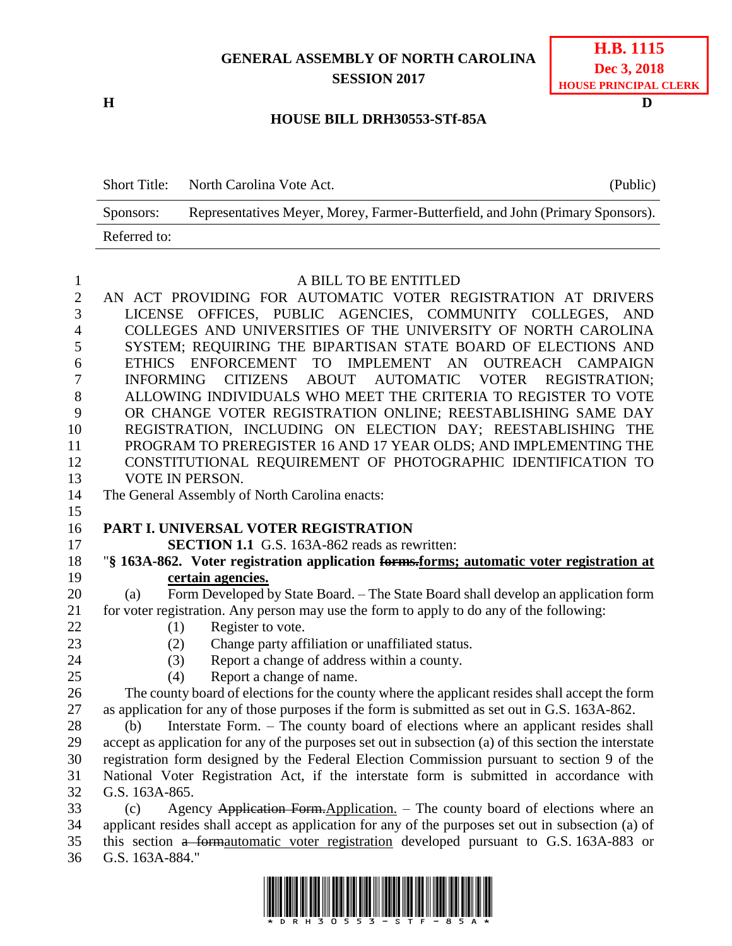### **GENERAL ASSEMBLY OF NORTH CAROLINA SESSION 2017**

**H D**

#### **HOUSE BILL DRH30553-STf-85A**

|              | Short Title: North Carolina Vote Act.<br>(Public)                              |
|--------------|--------------------------------------------------------------------------------|
| Sponsors:    | Representatives Meyer, Morey, Farmer-Butterfield, and John (Primary Sponsors). |
| Referred to: |                                                                                |

# A BILL TO BE ENTITLED

| $\mathbf{2}$   | AN ACT PROVIDING FOR AUTOMATIC VOTER REGISTRATION AT DRIVERS                                                    |
|----------------|-----------------------------------------------------------------------------------------------------------------|
| $\overline{3}$ | LICENSE OFFICES, PUBLIC AGENCIES, COMMUNITY COLLEGES, AND                                                       |
| $\overline{4}$ | COLLEGES AND UNIVERSITIES OF THE UNIVERSITY OF NORTH CAROLINA                                                   |
| 5              | SYSTEM; REQUIRING THE BIPARTISAN STATE BOARD OF ELECTIONS AND                                                   |
| 6              | ENFORCEMENT<br>TO IMPLEMENT AN OUTREACH CAMPAIGN<br><b>ETHICS</b>                                               |
| 7              | <b>CITIZENS</b><br><b>ABOUT</b><br><b>AUTOMATIC</b><br><b>VOTER</b><br><b>INFORMING</b><br><b>REGISTRATION:</b> |
| 8              | ALLOWING INDIVIDUALS WHO MEET THE CRITERIA TO REGISTER TO VOTE                                                  |
| 9              | OR CHANGE VOTER REGISTRATION ONLINE; REESTABLISHING SAME DAY                                                    |
| 10             | REGISTRATION, INCLUDING ON ELECTION DAY; REESTABLISHING THE                                                     |
| 11             | PROGRAM TO PREREGISTER 16 AND 17 YEAR OLDS; AND IMPLEMENTING THE                                                |
| 12             | CONSTITUTIONAL REQUIREMENT OF PHOTOGRAPHIC IDENTIFICATION TO                                                    |
| 13             | VOTE IN PERSON.                                                                                                 |
| 14             | The General Assembly of North Carolina enacts:                                                                  |
| 15             |                                                                                                                 |
| 16             | <b>PART I. UNIVERSAL VOTER REGISTRATION</b>                                                                     |
| 17             | <b>SECTION 1.1</b> G.S. 163A-862 reads as rewritten:                                                            |
| 18             | "§ 163A-862. Voter registration application forms.forms; automatic voter registration at                        |
| 19             | certain agencies.                                                                                               |
| 20             | Form Developed by State Board. - The State Board shall develop an application form<br>(a)                       |
| 21             | for voter registration. Any person may use the form to apply to do any of the following:                        |
| 22             | Register to vote.<br>(1)                                                                                        |
| 23             | Change party affiliation or unaffiliated status.<br>(2)                                                         |
| 24             | Report a change of address within a county.<br>(3)                                                              |
| 25             | Report a change of name.<br>(4)                                                                                 |
| 26             | The county board of elections for the county where the applicant resides shall accept the form                  |
| 27             | as application for any of those purposes if the form is submitted as set out in G.S. 163A-862.                  |
| 28             | Interstate Form. – The county board of elections where an applicant resides shall<br>(b)                        |
| 29             | accept as application for any of the purposes set out in subsection (a) of this section the interstate          |
| 30             | registration form designed by the Federal Election Commission pursuant to section 9 of the                      |
| 31             | National Voter Registration Act, if the interstate form is submitted in accordance with                         |
| 32             | G.S. 163A-865.                                                                                                  |
| 33             | Agency Application Form. Application. - The county board of elections where an<br>(c)                           |
| 34             | applicant resides shall accept as application for any of the purposes set out in subsection (a) of              |
| 35             | this section a formautomatic voter registration developed pursuant to G.S. 163A-883 or                          |
| 36             | G.S. 163A-884."                                                                                                 |

G.S. 163A-884."

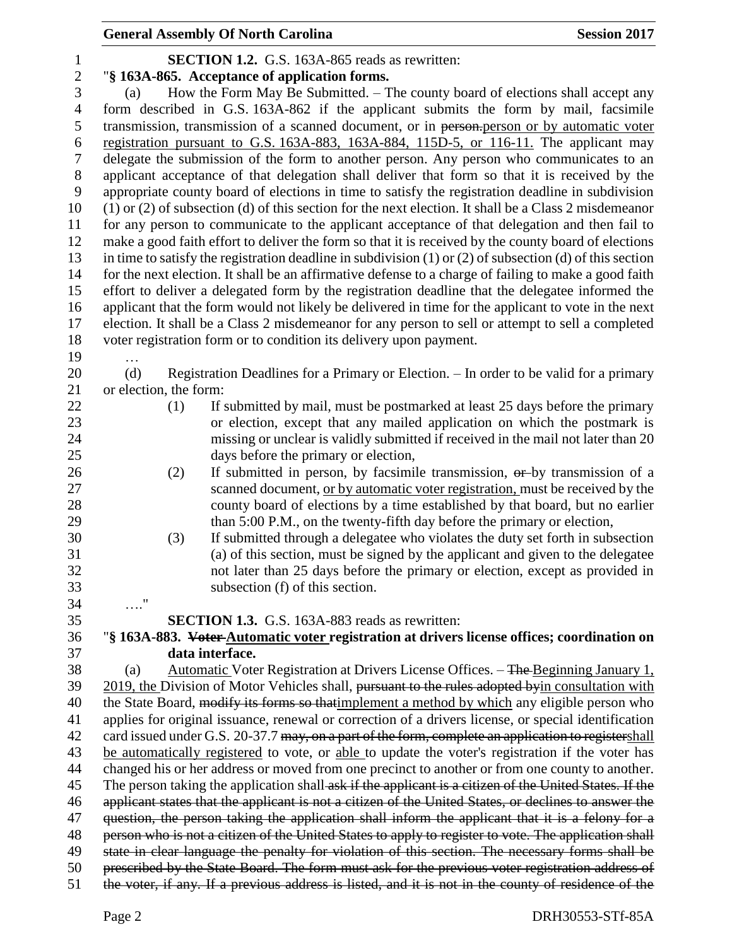**SECTION 1.2.** G.S. 163A-865 reads as rewritten: "**§ 163A-865. Acceptance of application forms.** (a) How the Form May Be Submitted. – The county board of elections shall accept any form described in G.S. 163A-862 if the applicant submits the form by mail, facsimile 5 transmission, transmission of a scanned document, or in person-person or by automatic voter registration pursuant to G.S. 163A-883, 163A-884, 115D-5, or 116-11. The applicant may delegate the submission of the form to another person. Any person who communicates to an applicant acceptance of that delegation shall deliver that form so that it is received by the appropriate county board of elections in time to satisfy the registration deadline in subdivision (1) or (2) of subsection (d) of this section for the next election. It shall be a Class 2 misdemeanor for any person to communicate to the applicant acceptance of that delegation and then fail to make a good faith effort to deliver the form so that it is received by the county board of elections in time to satisfy the registration deadline in subdivision (1) or (2) of subsection (d) of this section for the next election. It shall be an affirmative defense to a charge of failing to make a good faith effort to deliver a delegated form by the registration deadline that the delegatee informed the applicant that the form would not likely be delivered in time for the applicant to vote in the next election. It shall be a Class 2 misdemeanor for any person to sell or attempt to sell a completed voter registration form or to condition its delivery upon payment. … 20 (d) Registration Deadlines for a Primary or Election. – In order to be valid for a primary or election, the form: (1) If submitted by mail, must be postmarked at least 25 days before the primary or election, except that any mailed application on which the postmark is missing or unclear is validly submitted if received in the mail not later than 20 days before the primary or election, (2) If submitted in person, by facsimile transmission, or by transmission of a scanned document, or by automatic voter registration, must be received by the county board of elections by a time established by that board, but no earlier 29 than 5:00 P.M., on the twenty-fifth day before the primary or election, (3) If submitted through a delegatee who violates the duty set forth in subsection (a) of this section, must be signed by the applicant and given to the delegatee not later than 25 days before the primary or election, except as provided in subsection (f) of this section. …." **SECTION 1.3.** G.S. 163A-883 reads as rewritten: "**§ 163A-883. Voter Automatic voter registration at drivers license offices; coordination on data interface.** (a) Automatic Voter Registration at Drivers License Offices. – The Beginning January 1, 39 2019, the Division of Motor Vehicles shall, pursuant to the rules adopted byin consultation with 40 the State Board, modify its forms so thatimplement a method by which any eligible person who applies for original issuance, renewal or correction of a drivers license, or special identification 42 card issued under G.S. 20-37.7 may, on a part of the form, complete an application to registershall be automatically registered to vote, or able to update the voter's registration if the voter has changed his or her address or moved from one precinct to another or from one county to another. 45 The person taking the application shall ask if the applicant is a citizen of the United States. If the applicant states that the applicant is not a citizen of the United States, or declines to answer the 47 question, the person taking the application shall inform the applicant that it is a felony for a person who is not a citizen of the United States to apply to register to vote. The application shall 49 state in clear language the penalty for violation of this section. The necessary forms shall be prescribed by the State Board. The form must ask for the previous voter registration address of the voter, if any. If a previous address is listed, and it is not in the county of residence of the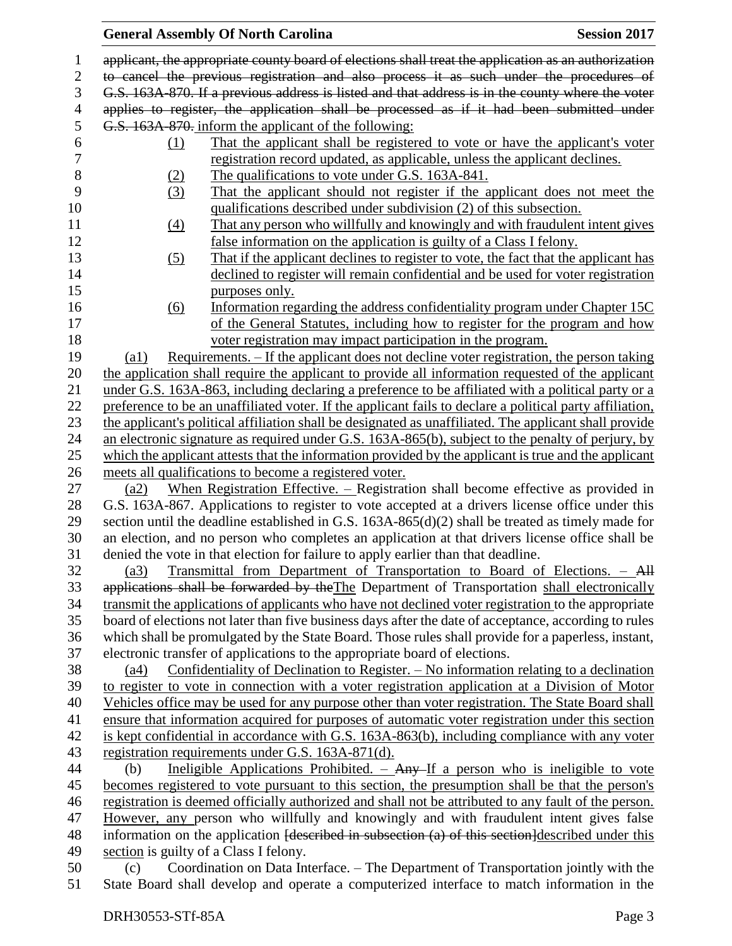#### **General Assembly Of North Carolina Session 2017**  applicant, the appropriate county board of elections shall treat the application as an authorization to cancel the previous registration and also process it as such under the procedures of G.S. 163A-870. If a previous address is listed and that address is in the county where the voter applies to register, the application shall be processed as if it had been submitted under G.S. 163A-870. inform the applicant of the following: (1) That the applicant shall be registered to vote or have the applicant's voter registration record updated, as applicable, unless the applicant declines. 8 (2) The qualifications to vote under G.S. 163A-841. (3) That the applicant should not register if the applicant does not meet the qualifications described under subdivision (2) of this subsection. (4) That any person who willfully and knowingly and with fraudulent intent gives false information on the application is guilty of a Class I felony. (5) That if the applicant declines to register to vote, the fact that the applicant has declined to register will remain confidential and be used for voter registration purposes only. (6) Information regarding the address confidentiality program under Chapter 15C of the General Statutes, including how to register for the program and how voter registration may impact participation in the program. (a1) Requirements. – If the applicant does not decline voter registration, the person taking the application shall require the applicant to provide all information requested of the applicant under G.S. 163A-863, including declaring a preference to be affiliated with a political party or a preference to be an unaffiliated voter. If the applicant fails to declare a political party affiliation, the applicant's political affiliation shall be designated as unaffiliated. The applicant shall provide an electronic signature as required under G.S. 163A-865(b), subject to the penalty of perjury, by which the applicant attests that the information provided by the applicant is true and the applicant meets all qualifications to become a registered voter. (a2) When Registration Effective. – Registration shall become effective as provided in G.S. 163A-867. Applications to register to vote accepted at a drivers license office under this section until the deadline established in G.S. 163A-865(d)(2) shall be treated as timely made for an election, and no person who completes an application at that drivers license office shall be denied the vote in that election for failure to apply earlier than that deadline. (a3) Transmittal from Department of Transportation to Board of Elections. – All 33 applications shall be forwarded by the The Department of Transportation shall electronically transmit the applications of applicants who have not declined voter registration to the appropriate board of elections not later than five business days after the date of acceptance, according to rules which shall be promulgated by the State Board. Those rules shall provide for a paperless, instant, electronic transfer of applications to the appropriate board of elections. (a4) Confidentiality of Declination to Register. – No information relating to a declination to register to vote in connection with a voter registration application at a Division of Motor Vehicles office may be used for any purpose other than voter registration. The State Board shall ensure that information acquired for purposes of automatic voter registration under this section is kept confidential in accordance with G.S. 163A-863(b), including compliance with any voter registration requirements under G.S. 163A-871(d). 44 (b) Ineligible Applications Prohibited. –  $\text{Any--If}$  a person who is ineligible to vote becomes registered to vote pursuant to this section, the presumption shall be that the person's registration is deemed officially authorized and shall not be attributed to any fault of the person. However, any person who willfully and knowingly and with fraudulent intent gives false 48 information on the application <del>[described in subsection (a) of this section</del>]described under this section is guilty of a Class I felony. (c) Coordination on Data Interface. – The Department of Transportation jointly with the State Board shall develop and operate a computerized interface to match information in the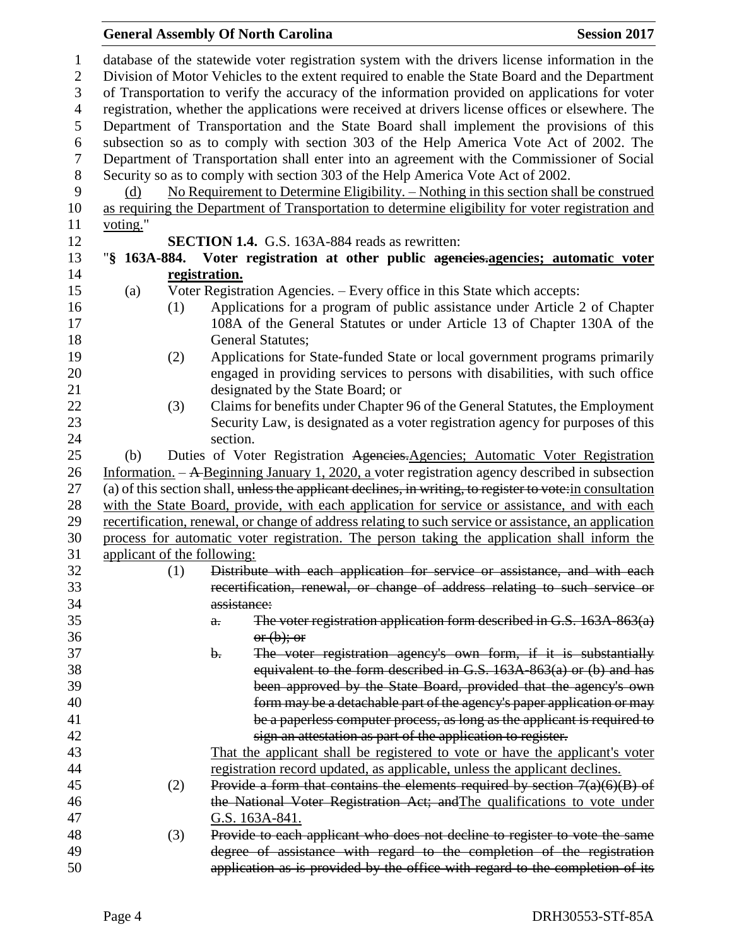| $\mathbf{1}$   |                                                                                                   |     | database of the statewide voter registration system with the drivers license information in the            |  |  |
|----------------|---------------------------------------------------------------------------------------------------|-----|------------------------------------------------------------------------------------------------------------|--|--|
| $\mathbf{2}$   |                                                                                                   |     | Division of Motor Vehicles to the extent required to enable the State Board and the Department             |  |  |
| 3              | of Transportation to verify the accuracy of the information provided on applications for voter    |     |                                                                                                            |  |  |
| $\overline{4}$ | registration, whether the applications were received at drivers license offices or elsewhere. The |     |                                                                                                            |  |  |
| 5              |                                                                                                   |     | Department of Transportation and the State Board shall implement the provisions of this                    |  |  |
| 6              |                                                                                                   |     | subsection so as to comply with section 303 of the Help America Vote Act of 2002. The                      |  |  |
| 7              |                                                                                                   |     | Department of Transportation shall enter into an agreement with the Commissioner of Social                 |  |  |
| 8              |                                                                                                   |     | Security so as to comply with section 303 of the Help America Vote Act of 2002.                            |  |  |
| 9              | (d)                                                                                               |     | No Requirement to Determine Eligibility. - Nothing in this section shall be construed                      |  |  |
| 10             |                                                                                                   |     | as requiring the Department of Transportation to determine eligibility for voter registration and          |  |  |
| 11             | voting."                                                                                          |     |                                                                                                            |  |  |
| 12             |                                                                                                   |     | <b>SECTION 1.4.</b> G.S. 163A-884 reads as rewritten:                                                      |  |  |
| 13             |                                                                                                   |     | "§ 163A-884. Voter registration at other public ageneies-agencies; automatic voter                         |  |  |
| 14             |                                                                                                   |     | registration.                                                                                              |  |  |
| 15             | (a)                                                                                               |     | Voter Registration Agencies. - Every office in this State which accepts:                                   |  |  |
| 16             |                                                                                                   | (1) | Applications for a program of public assistance under Article 2 of Chapter                                 |  |  |
| 17             |                                                                                                   |     | 108A of the General Statutes or under Article 13 of Chapter 130A of the                                    |  |  |
| 18             |                                                                                                   |     | <b>General Statutes;</b>                                                                                   |  |  |
| 19             |                                                                                                   | (2) | Applications for State-funded State or local government programs primarily                                 |  |  |
| 20             |                                                                                                   |     | engaged in providing services to persons with disabilities, with such office                               |  |  |
| 21             |                                                                                                   |     | designated by the State Board; or                                                                          |  |  |
| 22             |                                                                                                   | (3) | Claims for benefits under Chapter 96 of the General Statutes, the Employment                               |  |  |
| 23             |                                                                                                   |     | Security Law, is designated as a voter registration agency for purposes of this                            |  |  |
| 24             |                                                                                                   |     | section.                                                                                                   |  |  |
| 25             | (b)                                                                                               |     | Duties of Voter Registration Agencies. Agencies; Automatic Voter Registration                              |  |  |
| 26             |                                                                                                   |     | Information. $-$ A Beginning January 1, 2020, a voter registration agency described in subsection          |  |  |
| 27             |                                                                                                   |     | (a) of this section shall, unless the applicant declines, in writing, to register to vote: in consultation |  |  |
| 28             |                                                                                                   |     | with the State Board, provide, with each application for service or assistance, and with each              |  |  |
| 29             |                                                                                                   |     | recertification, renewal, or change of address relating to such service or assistance, an application      |  |  |
| 30             |                                                                                                   |     | process for automatic voter registration. The person taking the application shall inform the               |  |  |
| 31             | applicant of the following:                                                                       |     |                                                                                                            |  |  |
| 32             |                                                                                                   | (1) | Distribute with each application for service or assistance, and with each                                  |  |  |
| 33             |                                                                                                   |     | recertification, renewal, or change of address relating to such service or                                 |  |  |
| 34             |                                                                                                   |     | assistance:                                                                                                |  |  |
| 35             |                                                                                                   |     | The voter registration application form described in G.S. 163A-863(a)                                      |  |  |
| 36             |                                                                                                   |     | $\theta$ .<br>or (b); or                                                                                   |  |  |
| 37             |                                                                                                   |     | The voter registration agency's own form, if it is substantially<br>$\mathbf{b}$ .                         |  |  |
| 38             |                                                                                                   |     | equivalent to the form described in G.S. 163A-863(a) or (b) and has                                        |  |  |
| 39             |                                                                                                   |     |                                                                                                            |  |  |
| 40             |                                                                                                   |     | been approved by the State Board, provided that the agency's own                                           |  |  |
|                |                                                                                                   |     | form may be a detachable part of the agency's paper application or may                                     |  |  |
| 41<br>42       |                                                                                                   |     | be a paperless computer process, as long as the applicant is required to                                   |  |  |
|                |                                                                                                   |     | sign an attestation as part of the application to register.                                                |  |  |
| 43             |                                                                                                   |     | That the applicant shall be registered to vote or have the applicant's voter                               |  |  |
| 44             |                                                                                                   |     | registration record updated, as applicable, unless the applicant declines.                                 |  |  |
| 45             |                                                                                                   | (2) | Provide a form that contains the elements required by section $7(a)(6)(B)$ of                              |  |  |
| 46             |                                                                                                   |     | the National Voter Registration Act; and The qualifications to vote under                                  |  |  |
| 47             |                                                                                                   |     | G.S. 163A-841.                                                                                             |  |  |
| 48             |                                                                                                   | (3) | Provide to each applicant who does not decline to register to vote the same                                |  |  |
| 49             |                                                                                                   |     | degree of assistance with regard to the completion of the registration                                     |  |  |
| 50             |                                                                                                   |     | application as is provided by the office with regard to the completion of its                              |  |  |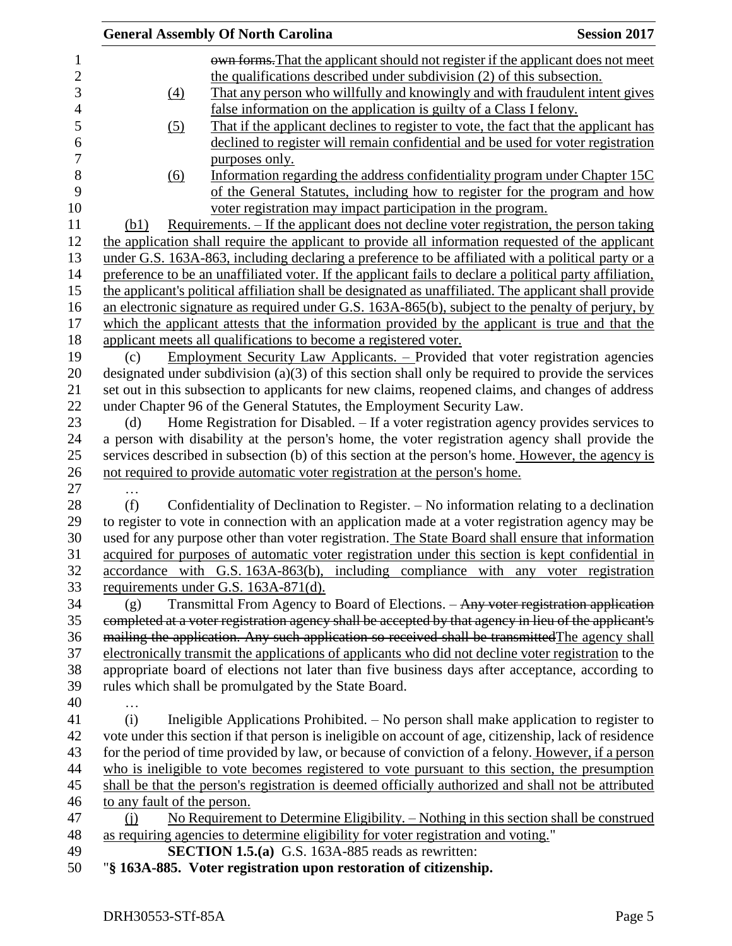|                             | <b>General Assembly Of North Carolina</b>                                                                                                                                                                                                    | <b>Session 2017</b> |
|-----------------------------|----------------------------------------------------------------------------------------------------------------------------------------------------------------------------------------------------------------------------------------------|---------------------|
|                             | own forms. That the applicant should not register if the applicant does not meet                                                                                                                                                             |                     |
|                             | the qualifications described under subdivision (2) of this subsection.                                                                                                                                                                       |                     |
| (4)                         | That any person who willfully and knowingly and with fraudulent intent gives                                                                                                                                                                 |                     |
|                             | false information on the application is guilty of a Class I felony.                                                                                                                                                                          |                     |
| (5)                         | That if the applicant declines to register to vote, the fact that the applicant has                                                                                                                                                          |                     |
|                             | declined to register will remain confidential and be used for voter registration                                                                                                                                                             |                     |
|                             | purposes only.                                                                                                                                                                                                                               |                     |
|                             |                                                                                                                                                                                                                                              |                     |
| (6)                         | Information regarding the address confidentiality program under Chapter 15C                                                                                                                                                                  |                     |
|                             | of the General Statutes, including how to register for the program and how                                                                                                                                                                   |                     |
|                             | voter registration may impact participation in the program.                                                                                                                                                                                  |                     |
| (b1)                        | Requirements. - If the applicant does not decline voter registration, the person taking                                                                                                                                                      |                     |
|                             | the application shall require the applicant to provide all information requested of the applicant                                                                                                                                            |                     |
|                             | under G.S. 163A-863, including declaring a preference to be affiliated with a political party or a                                                                                                                                           |                     |
|                             | preference to be an unaffiliated voter. If the applicant fails to declare a political party affiliation,                                                                                                                                     |                     |
|                             | the applicant's political affiliation shall be designated as unaffiliated. The applicant shall provide                                                                                                                                       |                     |
|                             | an electronic signature as required under G.S. 163A-865(b), subject to the penalty of perjury, by                                                                                                                                            |                     |
|                             | which the applicant attests that the information provided by the applicant is true and that the                                                                                                                                              |                     |
|                             | applicant meets all qualifications to become a registered voter.                                                                                                                                                                             |                     |
| (c)                         | Employment Security Law Applicants. - Provided that voter registration agencies                                                                                                                                                              |                     |
|                             | designated under subdivision $(a)(3)$ of this section shall only be required to provide the services                                                                                                                                         |                     |
|                             | set out in this subsection to applicants for new claims, reopened claims, and changes of address                                                                                                                                             |                     |
|                             | under Chapter 96 of the General Statutes, the Employment Security Law.                                                                                                                                                                       |                     |
| (d)                         | Home Registration for Disabled. - If a voter registration agency provides services to                                                                                                                                                        |                     |
|                             | a person with disability at the person's home, the voter registration agency shall provide the                                                                                                                                               |                     |
|                             | services described in subsection (b) of this section at the person's home. However, the agency is                                                                                                                                            |                     |
|                             | not required to provide automatic voter registration at the person's home.                                                                                                                                                                   |                     |
| .                           |                                                                                                                                                                                                                                              |                     |
| (f)                         | Confidentiality of Declination to Register. – No information relating to a declination                                                                                                                                                       |                     |
|                             | to register to vote in connection with an application made at a voter registration agency may be                                                                                                                                             |                     |
|                             | used for any purpose other than voter registration. The State Board shall ensure that information                                                                                                                                            |                     |
|                             | acquired for purposes of automatic voter registration under this section is kept confidential in                                                                                                                                             |                     |
|                             | accordance with G.S. 163A-863(b), including compliance with any voter registration                                                                                                                                                           |                     |
|                             | requirements under G.S. 163A-871(d).                                                                                                                                                                                                         |                     |
| (g)                         | Transmittal From Agency to Board of Elections. - Any voter registration application                                                                                                                                                          |                     |
|                             | completed at a voter registration agency shall be accepted by that agency in lieu of the applicant's                                                                                                                                         |                     |
|                             | mailing the application. Any such application so received shall be transmitted The agency shall                                                                                                                                              |                     |
|                             | electronically transmit the applications of applicants who did not decline voter registration to the                                                                                                                                         |                     |
|                             | appropriate board of elections not later than five business days after acceptance, according to                                                                                                                                              |                     |
|                             | rules which shall be promulgated by the State Board.                                                                                                                                                                                         |                     |
|                             |                                                                                                                                                                                                                                              |                     |
| .<br>(i)                    | Ineligible Applications Prohibited. - No person shall make application to register to                                                                                                                                                        |                     |
|                             |                                                                                                                                                                                                                                              |                     |
|                             | vote under this section if that person is ineligible on account of age, citizenship, lack of residence                                                                                                                                       |                     |
|                             | for the period of time provided by law, or because of conviction of a felony. However, if a person                                                                                                                                           |                     |
|                             | who is ineligible to vote becomes registered to vote pursuant to this section, the presumption                                                                                                                                               |                     |
|                             | shall be that the person's registration is deemed officially authorized and shall not be attributed                                                                                                                                          |                     |
| to any fault of the person. |                                                                                                                                                                                                                                              |                     |
| (i)                         | No Requirement to Determine Eligibility. - Nothing in this section shall be construed                                                                                                                                                        |                     |
|                             | as requiring agencies to determine eligibility for voter registration and voting."                                                                                                                                                           |                     |
|                             | <b>SECTION 1.5.(a)</b> G.S. 163A-885 reads as rewritten:                                                                                                                                                                                     |                     |
|                             | $(2.1, 0.05, \mathbf{V}_{\text{other}})$ is the constant of the contract second second second second second second second second second second second second second second second second second second second second second second second se |                     |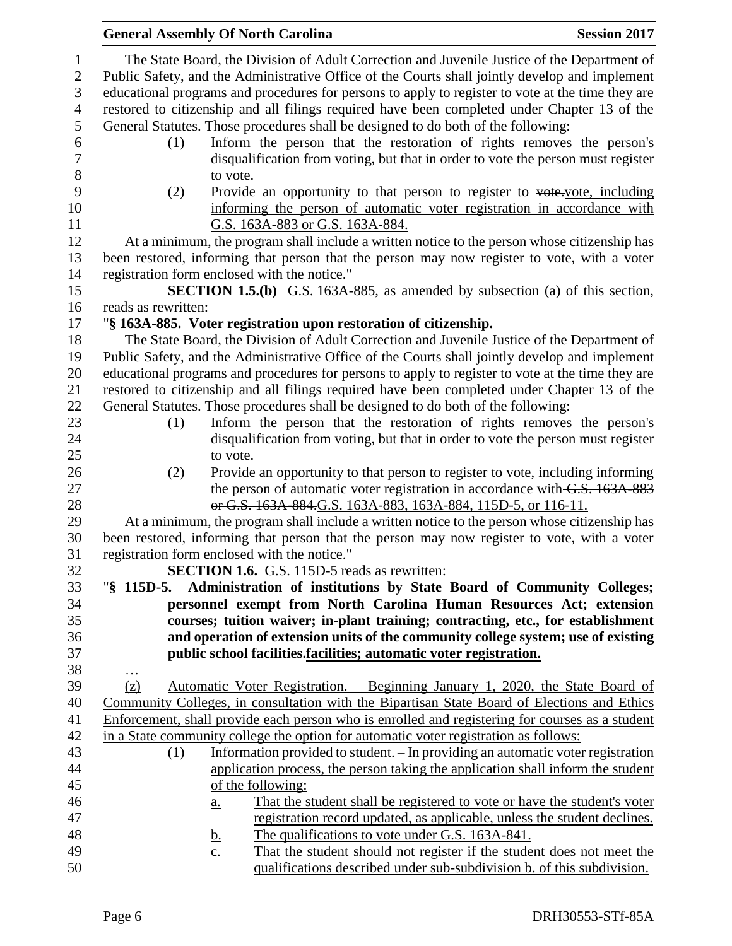|                        | <b>General Assembly Of North Carolina</b><br><b>Session 2017</b>                                                                                                                                  |  |
|------------------------|---------------------------------------------------------------------------------------------------------------------------------------------------------------------------------------------------|--|
| 1<br>$\mathbf{2}$<br>3 | The State Board, the Division of Adult Correction and Juvenile Justice of the Department of<br>Public Safety, and the Administrative Office of the Courts shall jointly develop and implement     |  |
| $\overline{4}$         | educational programs and procedures for persons to apply to register to vote at the time they are<br>restored to citizenship and all filings required have been completed under Chapter 13 of the |  |
| 5                      | General Statutes. Those procedures shall be designed to do both of the following:                                                                                                                 |  |
| 6                      | Inform the person that the restoration of rights removes the person's<br>(1)                                                                                                                      |  |
| $\boldsymbol{7}$<br>8  | disqualification from voting, but that in order to vote the person must register<br>to vote.                                                                                                      |  |
| 9                      | Provide an opportunity to that person to register to vote vote, including<br>(2)                                                                                                                  |  |
| 10                     | informing the person of automatic voter registration in accordance with                                                                                                                           |  |
| 11                     | G.S. 163A-883 or G.S. 163A-884.                                                                                                                                                                   |  |
| 12                     | At a minimum, the program shall include a written notice to the person whose citizenship has                                                                                                      |  |
| 13                     | been restored, informing that person that the person may now register to vote, with a voter                                                                                                       |  |
| 14                     | registration form enclosed with the notice."                                                                                                                                                      |  |
| 15                     | <b>SECTION 1.5.(b)</b> G.S. 163A-885, as amended by subsection (a) of this section,                                                                                                               |  |
| 16                     | reads as rewritten:                                                                                                                                                                               |  |
| 17                     | "§ 163A-885. Voter registration upon restoration of citizenship.                                                                                                                                  |  |
| 18                     | The State Board, the Division of Adult Correction and Juvenile Justice of the Department of                                                                                                       |  |
| 19                     | Public Safety, and the Administrative Office of the Courts shall jointly develop and implement                                                                                                    |  |
| 20                     | educational programs and procedures for persons to apply to register to vote at the time they are                                                                                                 |  |
| 21<br>22               | restored to citizenship and all filings required have been completed under Chapter 13 of the<br>General Statutes. Those procedures shall be designed to do both of the following:                 |  |
| 23                     | Inform the person that the restoration of rights removes the person's<br>(1)                                                                                                                      |  |
| 24                     | disqualification from voting, but that in order to vote the person must register                                                                                                                  |  |
| 25                     | to vote.                                                                                                                                                                                          |  |
| 26                     | Provide an opportunity to that person to register to vote, including informing<br>(2)                                                                                                             |  |
| 27                     | the person of automatic voter registration in accordance with G.S. 163A-883                                                                                                                       |  |
| 28                     | or G.S. 163A 884.G.S. 163A-883, 163A-884, 115D-5, or 116-11.                                                                                                                                      |  |
| 29                     | At a minimum, the program shall include a written notice to the person whose citizenship has                                                                                                      |  |
| 30                     | been restored, informing that person that the person may now register to vote, with a voter                                                                                                       |  |
| 31                     | registration form enclosed with the notice."                                                                                                                                                      |  |
| 32                     | <b>SECTION 1.6.</b> G.S. 115D-5 reads as rewritten:                                                                                                                                               |  |
| 33                     | Administration of institutions by State Board of Community Colleges;<br>" $$115D-5.$                                                                                                              |  |
| 34                     | personnel exempt from North Carolina Human Resources Act; extension                                                                                                                               |  |
| 35                     | courses; tuition waiver; in-plant training; contracting, etc., for establishment                                                                                                                  |  |
| 36                     | and operation of extension units of the community college system; use of existing                                                                                                                 |  |
| 37                     | public school facilities-facilities; automatic voter registration.                                                                                                                                |  |
| 38<br>39               | .                                                                                                                                                                                                 |  |
| 40                     | <u> Automatic Voter Registration. – Beginning January 1, 2020, the State Board of</u><br>(z)<br>Community Colleges, in consultation with the Bipartisan State Board of Elections and Ethics       |  |
| 41                     | Enforcement, shall provide each person who is enrolled and registering for courses as a student                                                                                                   |  |
| 42                     | in a State community college the option for automatic voter registration as follows:                                                                                                              |  |
| 43                     | Information provided to student. - In providing an automatic voter registration<br>(1)                                                                                                            |  |
| 44                     | application process, the person taking the application shall inform the student                                                                                                                   |  |
| 45                     | of the following:                                                                                                                                                                                 |  |
| 46                     | That the student shall be registered to vote or have the student's voter<br>a.                                                                                                                    |  |
| 47                     | registration record updated, as applicable, unless the student declines.                                                                                                                          |  |
| 48                     | The qualifications to vote under G.S. 163A-841.<br><u>b.</u>                                                                                                                                      |  |
| 49                     | That the student should not register if the student does not meet the<br>$\underline{c}$ .                                                                                                        |  |
| 50                     | qualifications described under sub-subdivision b. of this subdivision.                                                                                                                            |  |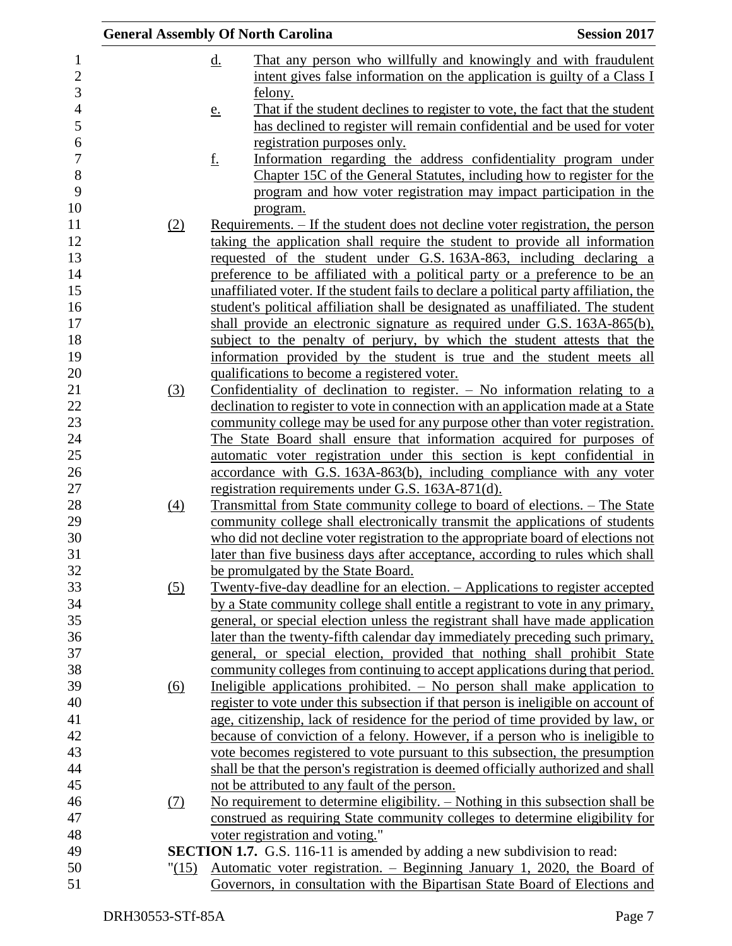|            | <b>General Assembly Of North Carolina</b>                                                                                                                     | <b>Session 2017</b> |
|------------|---------------------------------------------------------------------------------------------------------------------------------------------------------------|---------------------|
|            | $\underline{\mathrm{d}}$ .<br>That any person who willfully and knowingly and with fraudulent                                                                 |                     |
|            | intent gives false information on the application is guilty of a Class I<br>felony.                                                                           |                     |
|            | That if the student declines to register to vote, the fact that the student<br><u>e.</u>                                                                      |                     |
|            | has declined to register will remain confidential and be used for voter                                                                                       |                     |
|            | registration purposes only.                                                                                                                                   |                     |
|            | <u>f.</u><br>Information regarding the address confidentiality program under                                                                                  |                     |
|            | Chapter 15C of the General Statutes, including how to register for the                                                                                        |                     |
|            | program and how voter registration may impact participation in the                                                                                            |                     |
|            | program.                                                                                                                                                      |                     |
| (2)        | Requirements. – If the student does not decline voter registration, the person<br>taking the application shall require the student to provide all information |                     |
|            | requested of the student under G.S. 163A-863, including declaring a                                                                                           |                     |
|            | preference to be affiliated with a political party or a preference to be an                                                                                   |                     |
|            | unaffiliated voter. If the student fails to declare a political party affiliation, the                                                                        |                     |
|            | student's political affiliation shall be designated as unaffiliated. The student                                                                              |                     |
|            | shall provide an electronic signature as required under G.S. 163A-865(b),                                                                                     |                     |
|            | subject to the penalty of perjury, by which the student attests that the                                                                                      |                     |
|            | information provided by the student is true and the student meets all                                                                                         |                     |
|            | qualifications to become a registered voter.                                                                                                                  |                     |
| (3)        | Confidentiality of declination to register. $-$ No information relating to a                                                                                  |                     |
|            | declination to register to vote in connection with an application made at a State                                                                             |                     |
|            | community college may be used for any purpose other than voter registration.                                                                                  |                     |
|            | The State Board shall ensure that information acquired for purposes of                                                                                        |                     |
|            | automatic voter registration under this section is kept confidential in                                                                                       |                     |
|            | accordance with G.S. 163A-863(b), including compliance with any voter                                                                                         |                     |
|            | registration requirements under G.S. 163A-871(d).                                                                                                             |                     |
| (4)        | <u>Transmittal from State community college to board of elections. – The State</u>                                                                            |                     |
|            | community college shall electronically transmit the applications of students                                                                                  |                     |
|            | who did not decline voter registration to the appropriate board of elections not                                                                              |                     |
|            | later than five business days after acceptance, according to rules which shall                                                                                |                     |
|            | be promulgated by the State Board.                                                                                                                            |                     |
| (5)        | <u>Twenty-five-day deadline for an election. – Applications to register accepted</u>                                                                          |                     |
|            | by a State community college shall entitle a registrant to vote in any primary,                                                                               |                     |
|            | general, or special election unless the registrant shall have made application                                                                                |                     |
|            | <u>later than the twenty-fifth calendar day immediately preceding such primary,</u>                                                                           |                     |
|            | general, or special election, provided that nothing shall prohibit State                                                                                      |                     |
|            | community colleges from continuing to accept applications during that period.                                                                                 |                     |
| <u>(6)</u> | Ineligible applications prohibited. $-$ No person shall make application to                                                                                   |                     |
|            | register to vote under this subsection if that person is ineligible on account of                                                                             |                     |
|            | age, citizenship, lack of residence for the period of time provided by law, or                                                                                |                     |
|            | because of conviction of a felony. However, if a person who is ineligible to                                                                                  |                     |
|            | vote becomes registered to vote pursuant to this subsection, the presumption                                                                                  |                     |
|            | shall be that the person's registration is deemed officially authorized and shall                                                                             |                     |
|            | not be attributed to any fault of the person.                                                                                                                 |                     |
| <u>(7)</u> | No requirement to determine eligibility. - Nothing in this subsection shall be                                                                                |                     |
|            | construed as requiring State community colleges to determine eligibility for                                                                                  |                     |
|            | voter registration and voting."                                                                                                                               |                     |
|            | <b>SECTION 1.7.</b> G.S. 116-11 is amended by adding a new subdivision to read:                                                                               |                     |
|            | <u>Automatic voter registration. – Beginning January 1, 2020, the Board of</u><br>"(15)                                                                       |                     |
|            | Governors, in consultation with the Bipartisan State Board of Elections and                                                                                   |                     |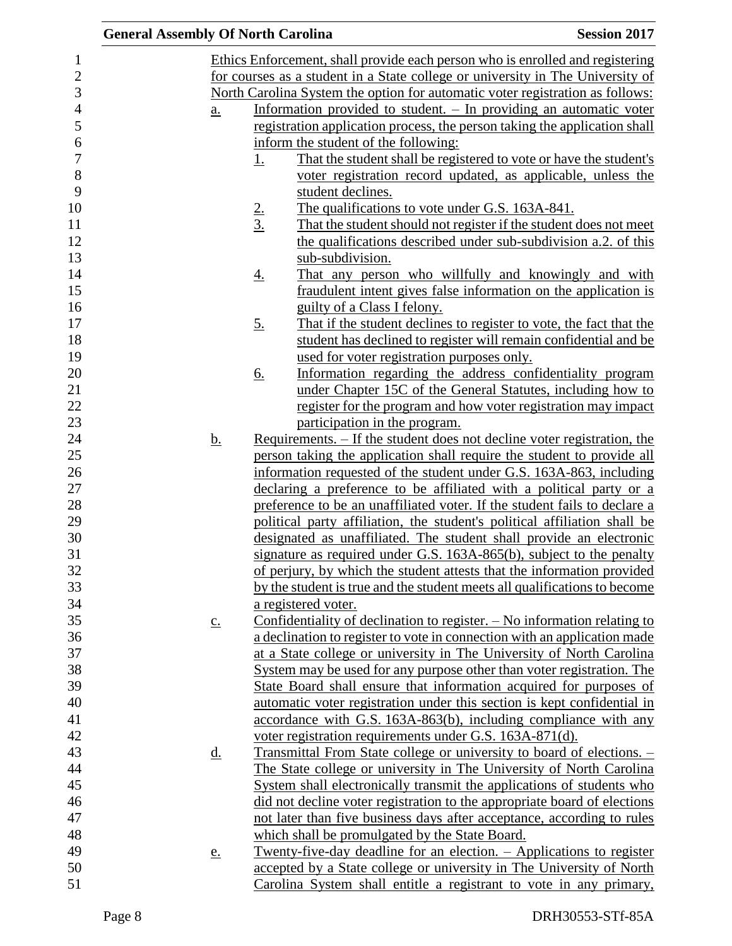| <b>General Assembly Of North Carolina</b> |                   |                   |                                                                                                                                                     | <b>Session 2017</b> |
|-------------------------------------------|-------------------|-------------------|-----------------------------------------------------------------------------------------------------------------------------------------------------|---------------------|
|                                           |                   |                   | Ethics Enforcement, shall provide each person who is enrolled and registering                                                                       |                     |
|                                           |                   |                   | for courses as a student in a State college or university in The University of                                                                      |                     |
|                                           |                   |                   | North Carolina System the option for automatic voter registration as follows:                                                                       |                     |
|                                           | $\underline{a}$ . |                   | Information provided to student. – In providing an automatic voter                                                                                  |                     |
|                                           |                   |                   | registration application process, the person taking the application shall                                                                           |                     |
|                                           |                   |                   | inform the student of the following:                                                                                                                |                     |
|                                           |                   | <u>1.</u>         | That the student shall be registered to vote or have the student's                                                                                  |                     |
|                                           |                   |                   | voter registration record updated, as applicable, unless the                                                                                        |                     |
|                                           |                   |                   | student declines.                                                                                                                                   |                     |
|                                           |                   |                   | The qualifications to vote under G.S. 163A-841.                                                                                                     |                     |
|                                           |                   | $\frac{2}{3}$     | That the student should not register if the student does not meet                                                                                   |                     |
|                                           |                   |                   | the qualifications described under sub-subdivision a.2. of this                                                                                     |                     |
|                                           |                   |                   | sub-subdivision.                                                                                                                                    |                     |
|                                           |                   | <u>4.</u>         | That any person who willfully and knowingly and with                                                                                                |                     |
|                                           |                   |                   | fraudulent intent gives false information on the application is                                                                                     |                     |
|                                           |                   |                   | guilty of a Class I felony.                                                                                                                         |                     |
|                                           |                   | $\underline{5}$ . | That if the student declines to register to vote, the fact that the                                                                                 |                     |
|                                           |                   |                   | student has declined to register will remain confidential and be                                                                                    |                     |
|                                           |                   |                   | used for voter registration purposes only.                                                                                                          |                     |
|                                           |                   | <u>6.</u>         | Information regarding the address confidentiality program                                                                                           |                     |
|                                           |                   |                   | under Chapter 15C of the General Statutes, including how to                                                                                         |                     |
|                                           |                   |                   | register for the program and how voter registration may impact                                                                                      |                     |
|                                           |                   |                   | participation in the program.                                                                                                                       |                     |
|                                           | <u>b.</u>         |                   | <u>Requirements. – If the student does not decline voter registration, the</u>                                                                      |                     |
|                                           |                   |                   | person taking the application shall require the student to provide all                                                                              |                     |
|                                           |                   |                   | information requested of the student under G.S. 163A-863, including                                                                                 |                     |
|                                           |                   |                   | declaring a preference to be affiliated with a political party or a                                                                                 |                     |
|                                           |                   |                   | preference to be an unaffiliated voter. If the student fails to declare a                                                                           |                     |
|                                           |                   |                   | political party affiliation, the student's political affiliation shall be                                                                           |                     |
|                                           |                   |                   | designated as unaffiliated. The student shall provide an electronic                                                                                 |                     |
|                                           |                   |                   | signature as required under G.S. 163A-865(b), subject to the penalty                                                                                |                     |
|                                           |                   |                   | of perjury, by which the student attests that the information provided                                                                              |                     |
|                                           |                   |                   | by the student is true and the student meets all qualifications to become                                                                           |                     |
|                                           |                   |                   | a registered voter.                                                                                                                                 |                     |
|                                           | $\underline{c}$ . |                   | Confidentiality of declination to register. $-$ No information relating to                                                                          |                     |
|                                           |                   |                   | a declination to register to vote in connection with an application made                                                                            |                     |
|                                           |                   |                   | at a State college or university in The University of North Carolina                                                                                |                     |
|                                           |                   |                   | System may be used for any purpose other than voter registration. The                                                                               |                     |
|                                           |                   |                   | State Board shall ensure that information acquired for purposes of                                                                                  |                     |
|                                           |                   |                   | automatic voter registration under this section is kept confidential in                                                                             |                     |
|                                           |                   |                   | accordance with G.S. 163A-863(b), including compliance with any                                                                                     |                     |
|                                           |                   |                   | voter registration requirements under G.S. 163A-871(d).                                                                                             |                     |
|                                           |                   |                   |                                                                                                                                                     |                     |
|                                           | <u>d.</u>         |                   | <u>Transmittal From State college or university to board of elections. –</u><br>The State college or university in The University of North Carolina |                     |
|                                           |                   |                   |                                                                                                                                                     |                     |
|                                           |                   |                   | System shall electronically transmit the applications of students who                                                                               |                     |
|                                           |                   |                   | did not decline voter registration to the appropriate board of elections                                                                            |                     |
|                                           |                   |                   | not later than five business days after acceptance, according to rules                                                                              |                     |
|                                           |                   |                   | which shall be promulgated by the State Board.                                                                                                      |                     |
|                                           | e.                |                   | <u>Twenty-five-day deadline for an election. – Applications to register</u>                                                                         |                     |
|                                           |                   |                   | accepted by a State college or university in The University of North                                                                                |                     |
|                                           |                   |                   | Carolina System shall entitle a registrant to vote in any primary,                                                                                  |                     |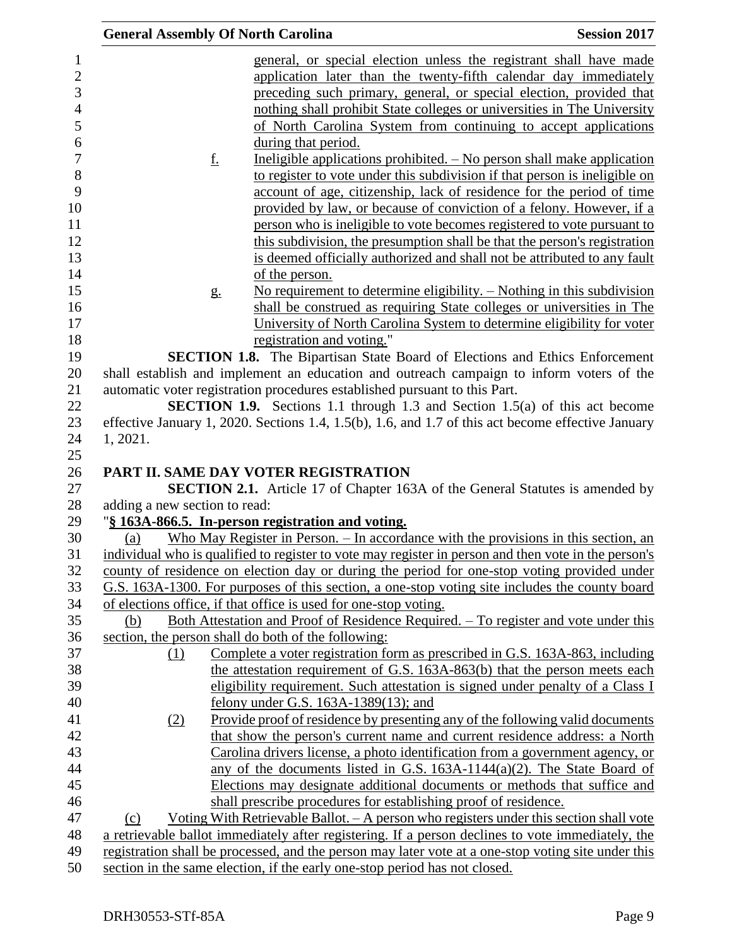|                               | <b>General Assembly Of North Carolina</b>                                  | <b>Session 2017</b>                                                                                                                                                                                      |
|-------------------------------|----------------------------------------------------------------------------|----------------------------------------------------------------------------------------------------------------------------------------------------------------------------------------------------------|
|                               |                                                                            | general, or special election unless the registrant shall have made                                                                                                                                       |
|                               |                                                                            | application later than the twenty-fifth calendar day immediately                                                                                                                                         |
|                               |                                                                            | preceding such primary, general, or special election, provided that                                                                                                                                      |
|                               |                                                                            | nothing shall prohibit State colleges or universities in The University                                                                                                                                  |
|                               |                                                                            | of North Carolina System from continuing to accept applications                                                                                                                                          |
|                               | during that period.                                                        |                                                                                                                                                                                                          |
|                               | f.                                                                         | Ineligible applications prohibited. $-$ No person shall make application                                                                                                                                 |
|                               |                                                                            | to register to vote under this subdivision if that person is ineligible on                                                                                                                               |
|                               |                                                                            | account of age, citizenship, lack of residence for the period of time                                                                                                                                    |
|                               |                                                                            | provided by law, or because of conviction of a felony. However, if a                                                                                                                                     |
|                               |                                                                            | person who is ineligible to vote becomes registered to vote pursuant to                                                                                                                                  |
|                               |                                                                            | this subdivision, the presumption shall be that the person's registration                                                                                                                                |
|                               |                                                                            | is deemed officially authorized and shall not be attributed to any fault                                                                                                                                 |
|                               | of the person.                                                             |                                                                                                                                                                                                          |
|                               | g <sub>1</sub>                                                             | No requirement to determine eligibility. $-$ Nothing in this subdivision                                                                                                                                 |
|                               |                                                                            | shall be construed as requiring State colleges or universities in The                                                                                                                                    |
|                               |                                                                            | University of North Carolina System to determine eligibility for voter                                                                                                                                   |
|                               | registration and voting."                                                  |                                                                                                                                                                                                          |
|                               |                                                                            | SECTION 1.8. The Bipartisan State Board of Elections and Ethics Enforcement                                                                                                                              |
|                               |                                                                            | shall establish and implement an education and outreach campaign to inform voters of the                                                                                                                 |
|                               | automatic voter registration procedures established pursuant to this Part. |                                                                                                                                                                                                          |
|                               |                                                                            | <b>SECTION 1.9.</b> Sections 1.1 through 1.3 and Section 1.5(a) of this act become                                                                                                                       |
|                               |                                                                            | effective January 1, 2020. Sections 1.4, 1.5(b), 1.6, and 1.7 of this act become effective January                                                                                                       |
| 1, 2021.                      |                                                                            |                                                                                                                                                                                                          |
|                               |                                                                            |                                                                                                                                                                                                          |
|                               | PART II. SAME DAY VOTER REGISTRATION                                       |                                                                                                                                                                                                          |
|                               |                                                                            | <b>SECTION 2.1.</b> Article 17 of Chapter 163A of the General Statutes is amended by                                                                                                                     |
| adding a new section to read: |                                                                            |                                                                                                                                                                                                          |
|                               | "§ 163A-866.5. In-person registration and voting.                          |                                                                                                                                                                                                          |
| (a)                           |                                                                            | Who May Register in Person. $-$ In accordance with the provisions in this section, an                                                                                                                    |
|                               |                                                                            | individual who is qualified to register to vote may register in person and then vote in the person's                                                                                                     |
|                               |                                                                            | county of residence on election day or during the period for one-stop voting provided under<br>G.S. 163A-1300. For purposes of this section, a one-stop voting site includes the county board            |
|                               | of elections office, if that office is used for one-stop voting.           |                                                                                                                                                                                                          |
| (b)                           |                                                                            | <u>Both Attestation and Proof of Residence Required. – To register and vote under this</u>                                                                                                               |
|                               | section, the person shall do both of the following:                        |                                                                                                                                                                                                          |
| (1)                           |                                                                            | Complete a voter registration form as prescribed in G.S. 163A-863, including                                                                                                                             |
|                               |                                                                            | the attestation requirement of G.S. 163A-863(b) that the person meets each                                                                                                                               |
|                               |                                                                            | eligibility requirement. Such attestation is signed under penalty of a Class I                                                                                                                           |
|                               | felony under G.S. $163A-1389(13)$ ; and                                    |                                                                                                                                                                                                          |
| (2)                           |                                                                            | Provide proof of residence by presenting any of the following valid documents                                                                                                                            |
|                               |                                                                            | that show the person's current name and current residence address: a North                                                                                                                               |
|                               |                                                                            | Carolina drivers license, a photo identification from a government agency, or                                                                                                                            |
|                               |                                                                            | any of the documents listed in G.S. $163A-1144(a)(2)$ . The State Board of                                                                                                                               |
|                               |                                                                            |                                                                                                                                                                                                          |
|                               |                                                                            |                                                                                                                                                                                                          |
|                               |                                                                            | Elections may designate additional documents or methods that suffice and                                                                                                                                 |
|                               | shall prescribe procedures for establishing proof of residence.            |                                                                                                                                                                                                          |
| (c)                           |                                                                            | <u>Voting With Retrievable Ballot. - A person who registers under this section shall vote</u>                                                                                                            |
|                               |                                                                            | a retrievable ballot immediately after registering. If a person declines to vote immediately, the<br>registration shall be processed, and the person may later vote at a one-stop voting site under this |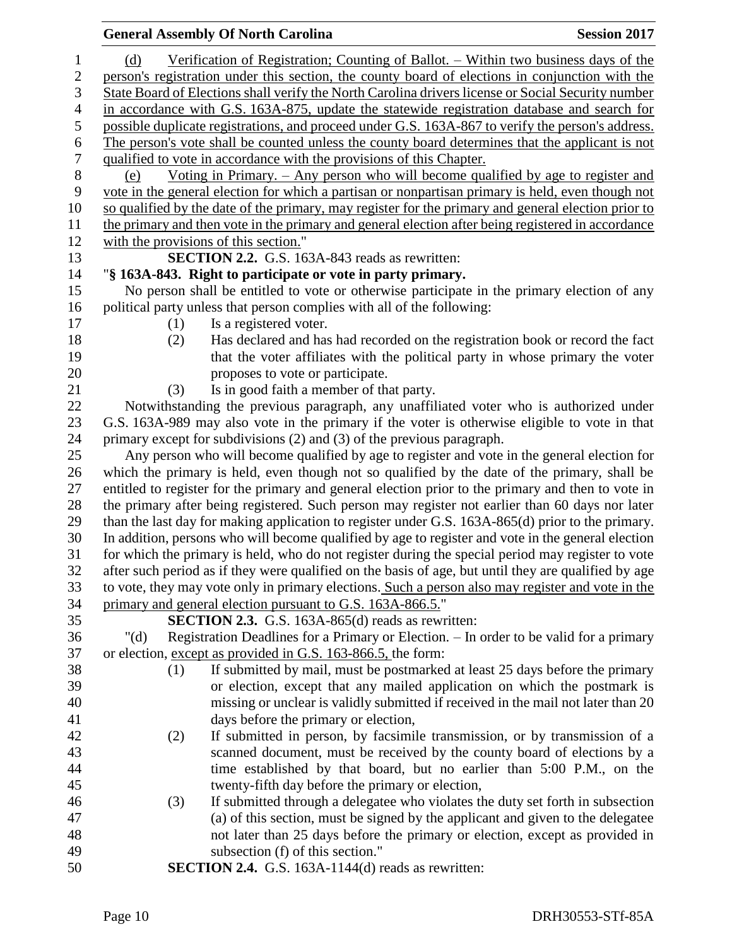|                  | <b>General Assembly Of North Carolina</b>                                                            | <b>Session 2017</b> |
|------------------|------------------------------------------------------------------------------------------------------|---------------------|
| $\mathbf{1}$     | Verification of Registration; Counting of Ballot. – Within two business days of the<br>(d)           |                     |
| $\overline{2}$   | person's registration under this section, the county board of elections in conjunction with the      |                     |
| 3                | State Board of Elections shall verify the North Carolina drivers license or Social Security number   |                     |
| 4                | in accordance with G.S. 163A-875, update the statewide registration database and search for          |                     |
| 5                | possible duplicate registrations, and proceed under G.S. 163A-867 to verify the person's address.    |                     |
| 6                | The person's vote shall be counted unless the county board determines that the applicant is not      |                     |
| $\boldsymbol{7}$ | qualified to vote in accordance with the provisions of this Chapter.                                 |                     |
| $8\,$            | Voting in Primary. $-$ Any person who will become qualified by age to register and<br>(e)            |                     |
| 9                | vote in the general election for which a partisan or nonpartisan primary is held, even though not    |                     |
| 10               | so qualified by the date of the primary, may register for the primary and general election prior to  |                     |
| 11               | the primary and then vote in the primary and general election after being registered in accordance   |                     |
| 12               | with the provisions of this section."                                                                |                     |
| 13               | <b>SECTION 2.2.</b> G.S. 163A-843 reads as rewritten:                                                |                     |
| 14               | "§ 163A-843. Right to participate or vote in party primary.                                          |                     |
| 15               | No person shall be entitled to vote or otherwise participate in the primary election of any          |                     |
| 16               | political party unless that person complies with all of the following:                               |                     |
| 17               | Is a registered voter.<br>(1)                                                                        |                     |
| 18               | Has declared and has had recorded on the registration book or record the fact<br>(2)                 |                     |
| 19               | that the voter affiliates with the political party in whose primary the voter                        |                     |
| 20               | proposes to vote or participate.                                                                     |                     |
| 21               | Is in good faith a member of that party.<br>(3)                                                      |                     |
| 22               | Notwithstanding the previous paragraph, any unaffiliated voter who is authorized under               |                     |
| 23               | G.S. 163A-989 may also vote in the primary if the voter is otherwise eligible to vote in that        |                     |
| 24               | primary except for subdivisions (2) and (3) of the previous paragraph.                               |                     |
| 25               | Any person who will become qualified by age to register and vote in the general election for         |                     |
| 26               | which the primary is held, even though not so qualified by the date of the primary, shall be         |                     |
| 27               | entitled to register for the primary and general election prior to the primary and then to vote in   |                     |
| 28               | the primary after being registered. Such person may register not earlier than 60 days nor later      |                     |
| 29               | than the last day for making application to register under G.S. 163A-865(d) prior to the primary.    |                     |
| 30               | In addition, persons who will become qualified by age to register and vote in the general election   |                     |
| 31               | for which the primary is held, who do not register during the special period may register to vote    |                     |
| 32               | after such period as if they were qualified on the basis of age, but until they are qualified by age |                     |
| 33               | to vote, they may vote only in primary elections. Such a person also may register and vote in the    |                     |
| 34               | primary and general election pursuant to G.S. 163A-866.5."                                           |                     |
| 35               | <b>SECTION 2.3.</b> G.S. 163A-865(d) reads as rewritten:                                             |                     |
| 36               | Registration Deadlines for a Primary or Election. - In order to be valid for a primary<br>" $(d)$    |                     |
| 37               | or election, except as provided in G.S. 163-866.5, the form:                                         |                     |
| 38               | If submitted by mail, must be postmarked at least 25 days before the primary<br>(1)                  |                     |
| 39               | or election, except that any mailed application on which the postmark is                             |                     |
| 40               | missing or unclear is validly submitted if received in the mail not later than 20                    |                     |
| 41               | days before the primary or election,                                                                 |                     |
| 42               | If submitted in person, by facsimile transmission, or by transmission of a<br>(2)                    |                     |
| 43               | scanned document, must be received by the county board of elections by a                             |                     |
| 44               | time established by that board, but no earlier than 5:00 P.M., on the                                |                     |
| 45               | twenty-fifth day before the primary or election,                                                     |                     |
| 46               | If submitted through a delegatee who violates the duty set forth in subsection<br>(3)                |                     |
| 47               | (a) of this section, must be signed by the applicant and given to the delegatee                      |                     |
| 48               | not later than 25 days before the primary or election, except as provided in                         |                     |
| 49               | subsection (f) of this section."                                                                     |                     |
| 50               | <b>SECTION 2.4.</b> G.S. 163A-1144(d) reads as rewritten:                                            |                     |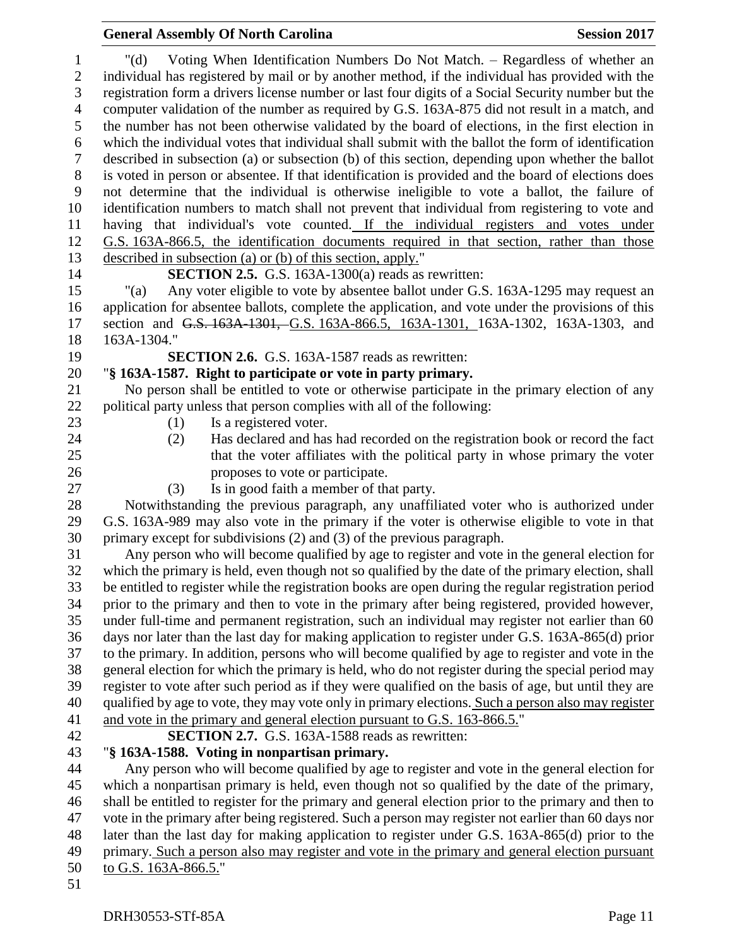#### "(d) Voting When Identification Numbers Do Not Match. – Regardless of whether an individual has registered by mail or by another method, if the individual has provided with the registration form a drivers license number or last four digits of a Social Security number but the computer validation of the number as required by G.S. 163A-875 did not result in a match, and the number has not been otherwise validated by the board of elections, in the first election in which the individual votes that individual shall submit with the ballot the form of identification described in subsection (a) or subsection (b) of this section, depending upon whether the ballot is voted in person or absentee. If that identification is provided and the board of elections does not determine that the individual is otherwise ineligible to vote a ballot, the failure of identification numbers to match shall not prevent that individual from registering to vote and having that individual's vote counted. If the individual registers and votes under G.S. 163A-866.5, the identification documents required in that section, rather than those described in subsection (a) or (b) of this section, apply." **SECTION 2.5.** G.S. 163A-1300(a) reads as rewritten: "(a) Any voter eligible to vote by absentee ballot under G.S. 163A-1295 may request an application for absentee ballots, complete the application, and vote under the provisions of this section and G.S. 163A-1301, G.S. 163A-866.5, 163A-1301, 163A-1302, 163A-1303, and 163A-1304." **SECTION 2.6.** G.S. 163A-1587 reads as rewritten: "**§ 163A-1587. Right to participate or vote in party primary.** No person shall be entitled to vote or otherwise participate in the primary election of any political party unless that person complies with all of the following: 23 (1) Is a registered voter. (2) Has declared and has had recorded on the registration book or record the fact that the voter affiliates with the political party in whose primary the voter proposes to vote or participate. (3) Is in good faith a member of that party. Notwithstanding the previous paragraph, any unaffiliated voter who is authorized under G.S. 163A-989 may also vote in the primary if the voter is otherwise eligible to vote in that primary except for subdivisions (2) and (3) of the previous paragraph. Any person who will become qualified by age to register and vote in the general election for which the primary is held, even though not so qualified by the date of the primary election, shall be entitled to register while the registration books are open during the regular registration period prior to the primary and then to vote in the primary after being registered, provided however, under full-time and permanent registration, such an individual may register not earlier than 60 days nor later than the last day for making application to register under G.S. 163A-865(d) prior to the primary. In addition, persons who will become qualified by age to register and vote in the general election for which the primary is held, who do not register during the special period may register to vote after such period as if they were qualified on the basis of age, but until they are 40 qualified by age to vote, they may vote only in primary elections. Such a person also may register and vote in the primary and general election pursuant to G.S. 163-866.5." **SECTION 2.7.** G.S. 163A-1588 reads as rewritten: "**§ 163A-1588. Voting in nonpartisan primary.** Any person who will become qualified by age to register and vote in the general election for which a nonpartisan primary is held, even though not so qualified by the date of the primary, shall be entitled to register for the primary and general election prior to the primary and then to vote in the primary after being registered. Such a person may register not earlier than 60 days nor later than the last day for making application to register under G.S. 163A-865(d) prior to the primary. Such a person also may register and vote in the primary and general election pursuant to G.S. 163A-866.5."

**General Assembly Of North Carolina Session 2017**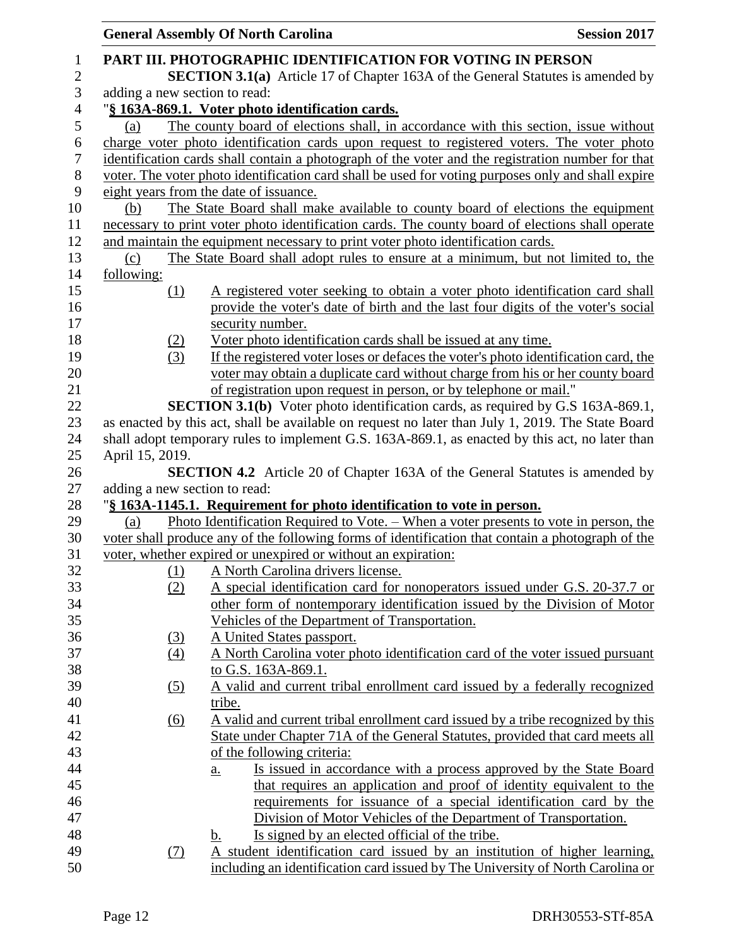|                   | <b>General Assembly Of North Carolina</b><br><b>Session 2017</b>                                                  |
|-------------------|-------------------------------------------------------------------------------------------------------------------|
|                   | PART III. PHOTOGRAPHIC IDENTIFICATION FOR VOTING IN PERSON                                                        |
|                   | <b>SECTION 3.1(a)</b> Article 17 of Chapter 163A of the General Statutes is amended by                            |
|                   | adding a new section to read:                                                                                     |
|                   | "§ 163A-869.1. Voter photo identification cards.                                                                  |
| (a)               | The county board of elections shall, in accordance with this section, issue without                               |
|                   | charge voter photo identification cards upon request to registered voters. The voter photo                        |
|                   | identification cards shall contain a photograph of the voter and the registration number for that                 |
|                   | voter. The voter photo identification card shall be used for voting purposes only and shall expire                |
|                   | eight years from the date of issuance.                                                                            |
| (b)               | The State Board shall make available to county board of elections the equipment                                   |
|                   | necessary to print voter photo identification cards. The county board of elections shall operate                  |
|                   | and maintain the equipment necessary to print voter photo identification cards.                                   |
| (c)               | The State Board shall adopt rules to ensure at a minimum, but not limited to, the                                 |
| following:        |                                                                                                                   |
| $\Omega$          | A registered voter seeking to obtain a voter photo identification card shall                                      |
|                   | provide the voter's date of birth and the last four digits of the voter's social                                  |
|                   | security number.                                                                                                  |
| (2)               | Voter photo identification cards shall be issued at any time.                                                     |
| (3)               | If the registered voter loses or defaces the voter's photo identification card, the                               |
|                   | voter may obtain a duplicate card without charge from his or her county board                                     |
|                   | of registration upon request in person, or by telephone or mail."                                                 |
|                   | <b>SECTION 3.1(b)</b> Voter photo identification cards, as required by G.S 163A-869.1,                            |
|                   | as enacted by this act, shall be available on request no later than July 1, 2019. The State Board                 |
|                   | shall adopt temporary rules to implement G.S. 163A-869.1, as enacted by this act, no later than                   |
| April 15, 2019.   |                                                                                                                   |
|                   | <b>SECTION 4.2</b> Article 20 of Chapter 163A of the General Statutes is amended by                               |
|                   | adding a new section to read:                                                                                     |
|                   | "§ 163A-1145.1. Requirement for photo identification to vote in person.                                           |
| (a)               | Photo Identification Required to Vote. – When a voter presents to vote in person, the                             |
|                   | voter shall produce any of the following forms of identification that contain a photograph of the                 |
|                   | voter, whether expired or unexpired or without an expiration:                                                     |
| $\frac{(1)}{(2)}$ | A North Carolina drivers license.                                                                                 |
|                   | A special identification card for nonoperators issued under G.S. 20-37.7 or                                       |
|                   | other form of nontemporary identification issued by the Division of Motor                                         |
|                   | Vehicles of the Department of Transportation.                                                                     |
| (3)               | A United States passport.                                                                                         |
| $\left(4\right)$  | A North Carolina voter photo identification card of the voter issued pursuant                                     |
|                   | to G.S. 163A-869.1.                                                                                               |
| <u>(5)</u>        | A valid and current tribal enrollment card issued by a federally recognized                                       |
|                   | tribe.                                                                                                            |
| $\underline{(6)}$ | A valid and current tribal enrollment card issued by a tribe recognized by this                                   |
|                   | State under Chapter 71A of the General Statutes, provided that card meets all                                     |
|                   | of the following criteria:                                                                                        |
|                   | <u>Is issued in accordance with a process approved by the State Board</u><br>a.                                   |
|                   | that requires an application and proof of identity equivalent to the                                              |
|                   | requirements for issuance of a special identification card by the                                                 |
|                   | Division of Motor Vehicles of the Department of Transportation.<br>Is signed by an elected official of the tribe. |
| (7)               | <u>b.</u><br>A student identification card issued by an institution of higher learning,                           |
|                   | including an identification card issued by The University of North Carolina or                                    |
|                   |                                                                                                                   |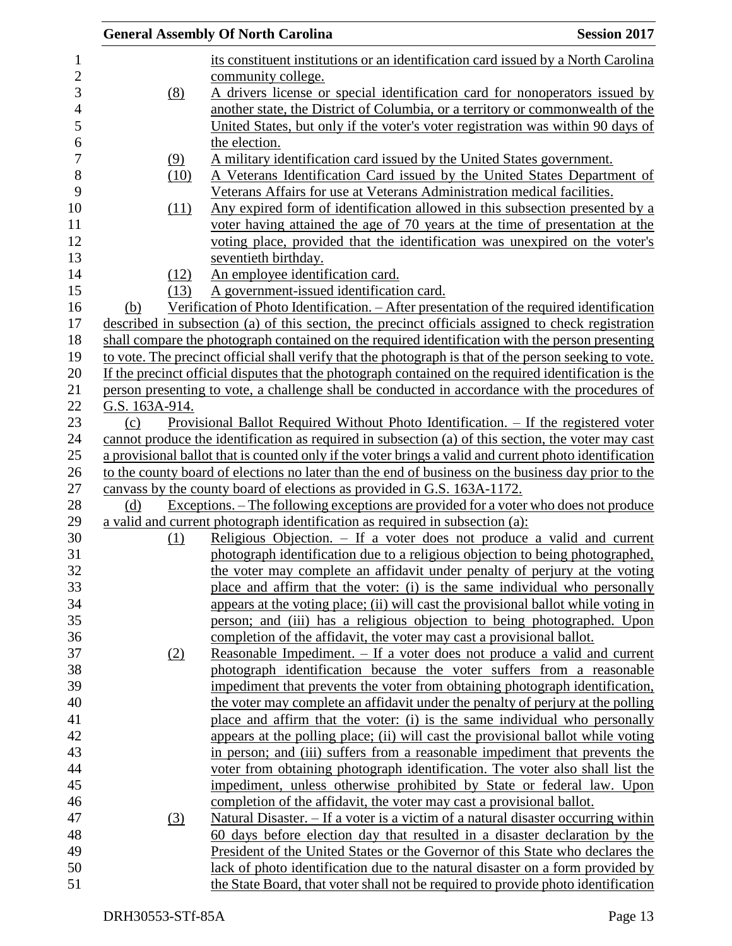|                | <b>General Assembly Of North Carolina</b><br><b>Session 2017</b>                                       |  |
|----------------|--------------------------------------------------------------------------------------------------------|--|
|                | its constituent institutions or an identification card issued by a North Carolina                      |  |
|                | community college.                                                                                     |  |
| (8)            | A drivers license or special identification card for nonoperators issued by                            |  |
|                | another state, the District of Columbia, or a territory or commonwealth of the                         |  |
|                | United States, but only if the voter's voter registration was within 90 days of                        |  |
|                | the election.                                                                                          |  |
| (9)            | A military identification card issued by the United States government.                                 |  |
| (10)           | A Veterans Identification Card issued by the United States Department of                               |  |
|                | Veterans Affairs for use at Veterans Administration medical facilities.                                |  |
| (11)           | Any expired form of identification allowed in this subsection presented by a                           |  |
|                | voter having attained the age of 70 years at the time of presentation at the                           |  |
|                | voting place, provided that the identification was unexpired on the voter's                            |  |
|                | seventieth birthday.                                                                                   |  |
|                | An employee identification card.                                                                       |  |
| (12)           |                                                                                                        |  |
| (13)           | A government-issued identification card.                                                               |  |
| (b)            | Verification of Photo Identification. - After presentation of the required identification              |  |
|                | described in subsection (a) of this section, the precinct officials assigned to check registration     |  |
|                | shall compare the photograph contained on the required identification with the person presenting       |  |
|                | to vote. The precinct official shall verify that the photograph is that of the person seeking to vote. |  |
|                | If the precinct official disputes that the photograph contained on the required identification is the  |  |
|                | person presenting to vote, a challenge shall be conducted in accordance with the procedures of         |  |
| G.S. 163A-914. |                                                                                                        |  |
| (c)            | <u>Provisional Ballot Required Without Photo Identification. - If the registered voter</u>             |  |
|                | cannot produce the identification as required in subsection (a) of this section, the voter may cast    |  |
|                | a provisional ballot that is counted only if the voter brings a valid and current photo identification |  |
|                | to the county board of elections no later than the end of business on the business day prior to the    |  |
|                | canvass by the county board of elections as provided in G.S. 163A-1172.                                |  |
| (d)            | <u>Exceptions. – The following exceptions are provided for a voter who does not produce</u>            |  |
|                | a valid and current photograph identification as required in subsection (a):                           |  |
| (1)            | Religious Objection. – If a voter does not produce a valid and current                                 |  |
|                | photograph identification due to a religious objection to being photographed,                          |  |
|                | the voter may complete an affidavit under penalty of perjury at the voting                             |  |
|                | place and affirm that the voter: (i) is the same individual who personally                             |  |
|                | appears at the voting place; (ii) will cast the provisional ballot while voting in                     |  |
|                | person; and (iii) has a religious objection to being photographed. Upon                                |  |
|                | completion of the affidavit, the voter may cast a provisional ballot.                                  |  |
| <u>(2)</u>     | Reasonable Impediment. - If a voter does not produce a valid and current                               |  |
|                | photograph identification because the voter suffers from a reasonable                                  |  |
|                | impediment that prevents the voter from obtaining photograph identification,                           |  |
|                | the voter may complete an affidavit under the penalty of perjury at the polling                        |  |
|                | place and affirm that the voter: (i) is the same individual who personally                             |  |
|                | appears at the polling place; (ii) will cast the provisional ballot while voting                       |  |
|                | in person; and (iii) suffers from a reasonable impediment that prevents the                            |  |
|                | voter from obtaining photograph identification. The voter also shall list the                          |  |
|                | impediment, unless otherwise prohibited by State or federal law. Upon                                  |  |
|                | completion of the affidavit, the voter may cast a provisional ballot.                                  |  |
| (3)            | Natural Disaster. – If a voter is a victim of a natural disaster occurring within                      |  |
|                | <u>60 days before election day that resulted in a disaster declaration by the</u>                      |  |
|                | President of the United States or the Governor of this State who declares the                          |  |
|                | lack of photo identification due to the natural disaster on a form provided by                         |  |
|                | the State Board, that voter shall not be required to provide photo identification                      |  |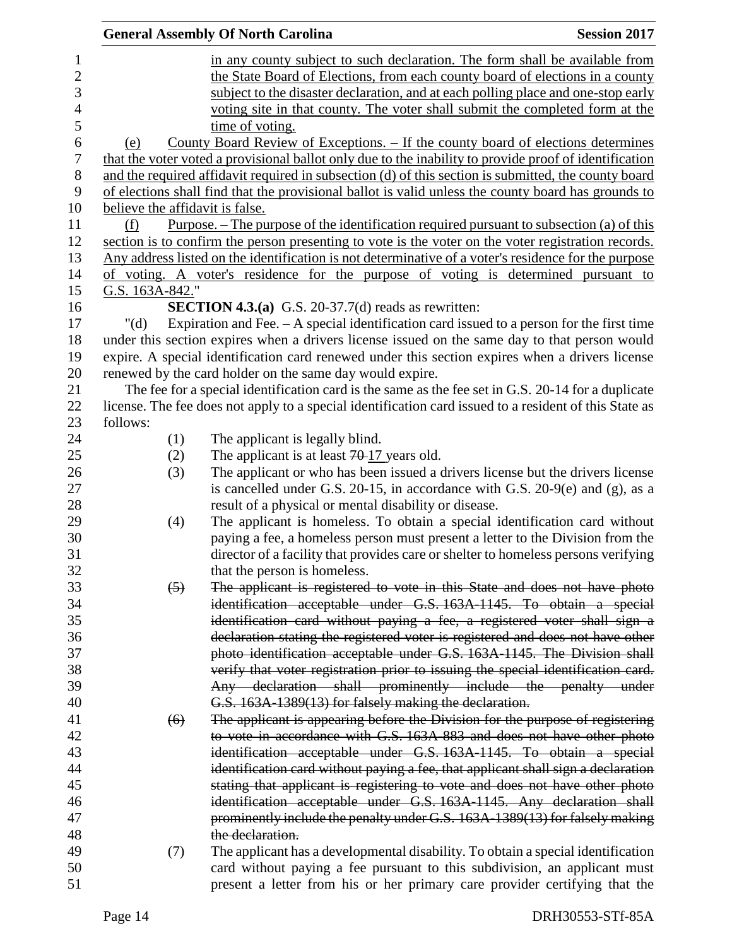|                  |                                                                                   |                  | <b>General Assembly Of North Carolina</b>                                                              | <b>Session 2017</b> |  |
|------------------|-----------------------------------------------------------------------------------|------------------|--------------------------------------------------------------------------------------------------------|---------------------|--|
| $\mathbf{1}$     |                                                                                   |                  | in any county subject to such declaration. The form shall be available from                            |                     |  |
| $\sqrt{2}$       | the State Board of Elections, from each county board of elections in a county     |                  |                                                                                                        |                     |  |
| 3                | subject to the disaster declaration, and at each polling place and one-stop early |                  |                                                                                                        |                     |  |
| $\overline{4}$   | voting site in that county. The voter shall submit the completed form at the      |                  |                                                                                                        |                     |  |
| 5                |                                                                                   |                  | time of voting.                                                                                        |                     |  |
| 6                | (e)                                                                               |                  | County Board Review of Exceptions. – If the county board of elections determines                       |                     |  |
| $\boldsymbol{7}$ |                                                                                   |                  | that the voter voted a provisional ballot only due to the inability to provide proof of identification |                     |  |
| $8\,$            |                                                                                   |                  | and the required affidavit required in subsection (d) of this section is submitted, the county board   |                     |  |
| 9                |                                                                                   |                  | of elections shall find that the provisional ballot is valid unless the county board has grounds to    |                     |  |
| 10               |                                                                                   |                  | believe the affidavit is false.                                                                        |                     |  |
| 11               | (f)                                                                               |                  | <u>Purpose. – The purpose of the identification required pursuant to subsection (a) of this</u>        |                     |  |
| 12               |                                                                                   |                  | section is to confirm the person presenting to vote is the voter on the voter registration records.    |                     |  |
| 13               |                                                                                   |                  | Any address listed on the identification is not determinative of a voter's residence for the purpose   |                     |  |
| 14               |                                                                                   |                  | of voting. A voter's residence for the purpose of voting is determined pursuant to                     |                     |  |
| 15               | G.S. 163A-842."                                                                   |                  |                                                                                                        |                     |  |
| 16               |                                                                                   |                  | <b>SECTION 4.3.(a)</b> G.S. 20-37.7(d) reads as rewritten:                                             |                     |  |
| 17               | " $(d)$                                                                           |                  | Expiration and Fee. $-$ A special identification card issued to a person for the first time            |                     |  |
| 18               |                                                                                   |                  | under this section expires when a drivers license issued on the same day to that person would          |                     |  |
| 19               |                                                                                   |                  | expire. A special identification card renewed under this section expires when a drivers license        |                     |  |
| 20               |                                                                                   |                  | renewed by the card holder on the same day would expire.                                               |                     |  |
| 21               |                                                                                   |                  | The fee for a special identification card is the same as the fee set in G.S. 20-14 for a duplicate     |                     |  |
| 22               |                                                                                   |                  | license. The fee does not apply to a special identification card issued to a resident of this State as |                     |  |
| 23               | follows:                                                                          |                  |                                                                                                        |                     |  |
| 24               |                                                                                   | (1)              | The applicant is legally blind.                                                                        |                     |  |
| 25               |                                                                                   |                  | The applicant is at least $70-17$ years old.                                                           |                     |  |
| 26               |                                                                                   | (2)<br>(3)       | The applicant or who has been issued a drivers license but the drivers license                         |                     |  |
| 27               |                                                                                   |                  | is cancelled under G.S. 20-15, in accordance with G.S. 20-9 $(e)$ and $(g)$ , as a                     |                     |  |
| 28               |                                                                                   |                  | result of a physical or mental disability or disease.                                                  |                     |  |
| 29               |                                                                                   |                  | The applicant is homeless. To obtain a special identification card without                             |                     |  |
| 30               |                                                                                   | (4)              | paying a fee, a homeless person must present a letter to the Division from the                         |                     |  |
| 31               |                                                                                   |                  | director of a facility that provides care or shelter to homeless persons verifying                     |                     |  |
| 32               |                                                                                   |                  | that the person is homeless.                                                                           |                     |  |
| 33               |                                                                                   | $\left(5\right)$ | The applicant is registered to vote in this State and does not have photo                              |                     |  |
| 34               |                                                                                   |                  |                                                                                                        |                     |  |
| 35               |                                                                                   |                  | identification acceptable under G.S. 163A-1145. To obtain a special                                    |                     |  |
|                  |                                                                                   |                  | identification card without paying a fee, a registered voter shall sign a                              |                     |  |
| 36<br>37         |                                                                                   |                  | declaration stating the registered voter is registered and does not have other                         |                     |  |
| 38               |                                                                                   |                  | photo identification acceptable under G.S. 163A 1145. The Division shall                               |                     |  |
|                  |                                                                                   |                  | verify that voter registration prior to issuing the special identification card.                       |                     |  |
| 39               |                                                                                   |                  | Any declaration shall prominently include the penalty under                                            |                     |  |
| 40               |                                                                                   |                  | G.S. 163A-1389(13) for falsely making the declaration.                                                 |                     |  |
| 41<br>42         |                                                                                   | (6)              | The applicant is appearing before the Division for the purpose of registering                          |                     |  |
|                  |                                                                                   |                  | to vote in accordance with G.S. 163A 883 and does not have other photo                                 |                     |  |
| 43<br>44         |                                                                                   |                  | identification acceptable under G.S. 163A-1145. To obtain a special                                    |                     |  |
|                  |                                                                                   |                  | identification card without paying a fee, that applicant shall sign a declaration                      |                     |  |
| 45               |                                                                                   |                  | stating that applicant is registering to vote and does not have other photo                            |                     |  |
| 46               |                                                                                   |                  | identification acceptable under G.S. 163A-1145. Any declaration shall                                  |                     |  |
| 47               |                                                                                   |                  | prominently include the penalty under G.S. 163A-1389(13) for falsely making                            |                     |  |
| 48               |                                                                                   |                  | the declaration.                                                                                       |                     |  |
| 49               |                                                                                   | (7)              | The applicant has a developmental disability. To obtain a special identification                       |                     |  |
| 50               |                                                                                   |                  | card without paying a fee pursuant to this subdivision, an applicant must                              |                     |  |
| 51               |                                                                                   |                  | present a letter from his or her primary care provider certifying that the                             |                     |  |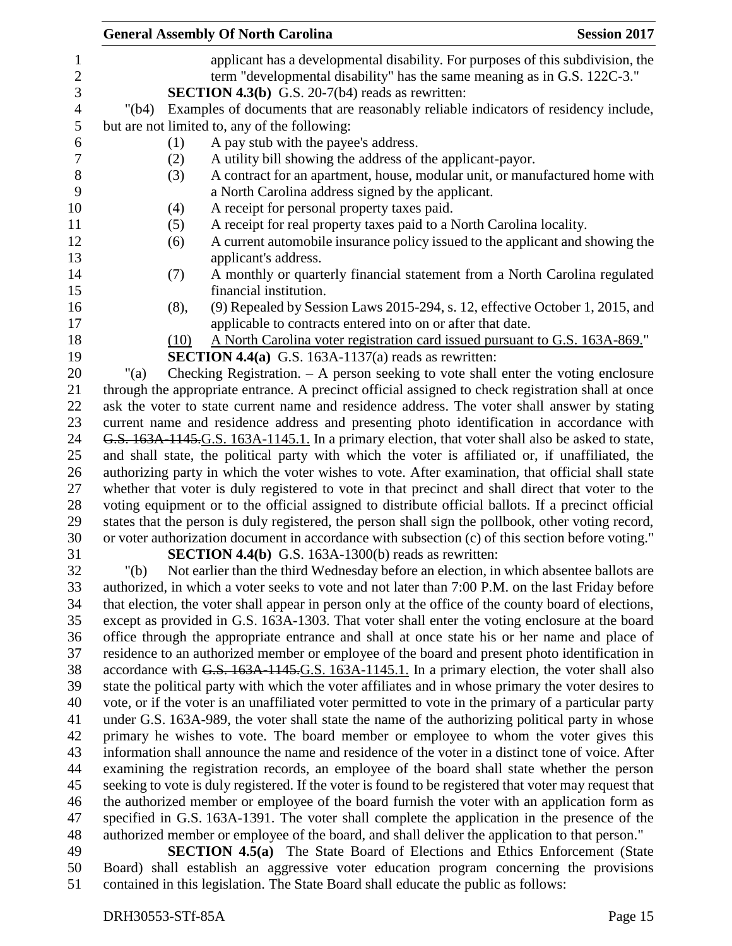|                          | <b>General Assembly Of North Carolina</b><br><b>Session 2017</b>                                                                                                                                                           |
|--------------------------|----------------------------------------------------------------------------------------------------------------------------------------------------------------------------------------------------------------------------|
| 1<br>$\overline{c}$<br>3 | applicant has a developmental disability. For purposes of this subdivision, the<br>term "developmental disability" has the same meaning as in G.S. 122C-3."<br><b>SECTION 4.3(b)</b> G.S. 20-7( $b4$ ) reads as rewritten: |
| $\overline{4}$           | Examples of documents that are reasonably reliable indicators of residency include,<br>"(b4)                                                                                                                               |
| 5                        | but are not limited to, any of the following:                                                                                                                                                                              |
| 6                        | (1)<br>A pay stub with the payee's address.                                                                                                                                                                                |
| $\boldsymbol{7}$         |                                                                                                                                                                                                                            |
|                          | A utility bill showing the address of the applicant-payor.<br>(2)                                                                                                                                                          |
| $8\,$                    | A contract for an apartment, house, modular unit, or manufactured home with<br>(3)                                                                                                                                         |
| 9                        | a North Carolina address signed by the applicant.                                                                                                                                                                          |
| 10                       | A receipt for personal property taxes paid.<br>(4)                                                                                                                                                                         |
| 11                       | A receipt for real property taxes paid to a North Carolina locality.<br>(5)                                                                                                                                                |
| 12                       | A current automobile insurance policy issued to the applicant and showing the<br>(6)                                                                                                                                       |
| 13                       | applicant's address.                                                                                                                                                                                                       |
| 14                       | A monthly or quarterly financial statement from a North Carolina regulated<br>(7)                                                                                                                                          |
| 15                       | financial institution.                                                                                                                                                                                                     |
| 16                       | (9) Repealed by Session Laws 2015-294, s. 12, effective October 1, 2015, and<br>(8),                                                                                                                                       |
| 17                       | applicable to contracts entered into on or after that date.                                                                                                                                                                |
| 18                       | A North Carolina voter registration card issued pursuant to G.S. 163A-869."<br>(10)                                                                                                                                        |
| 19                       | <b>SECTION 4.4(a)</b> G.S. 163A-1137(a) reads as rewritten:                                                                                                                                                                |
| 20                       | Checking Registration. $- A$ person seeking to vote shall enter the voting enclosure<br>"(a)                                                                                                                               |
| 21                       | through the appropriate entrance. A precinct official assigned to check registration shall at once                                                                                                                         |
| 22                       | ask the voter to state current name and residence address. The voter shall answer by stating                                                                                                                               |
| 23                       | current name and residence address and presenting photo identification in accordance with                                                                                                                                  |
| 24                       | G.S. 163A-1145.G.S. 163A-1145.1. In a primary election, that voter shall also be asked to state,                                                                                                                           |
| 25                       | and shall state, the political party with which the voter is affiliated or, if unaffiliated, the                                                                                                                           |
| 26                       | authorizing party in which the voter wishes to vote. After examination, that official shall state                                                                                                                          |
| 27                       | whether that voter is duly registered to vote in that precinct and shall direct that voter to the                                                                                                                          |
| 28                       | voting equipment or to the official assigned to distribute official ballots. If a precinct official                                                                                                                        |
| 29                       | states that the person is duly registered, the person shall sign the pollbook, other voting record,                                                                                                                        |
| 30                       | or voter authorization document in accordance with subsection (c) of this section before voting."                                                                                                                          |
| 31                       | <b>SECTION 4.4(b)</b> G.S. 163A-1300(b) reads as rewritten:                                                                                                                                                                |
| 32                       | Not earlier than the third Wednesday before an election, in which absentee ballots are<br>" $(b)$                                                                                                                          |
| 33                       | authorized, in which a voter seeks to vote and not later than 7:00 P.M. on the last Friday before                                                                                                                          |
| 34                       | that election, the voter shall appear in person only at the office of the county board of elections,                                                                                                                       |
| 35                       | except as provided in G.S. 163A-1303. That voter shall enter the voting enclosure at the board                                                                                                                             |
| 36                       | office through the appropriate entrance and shall at once state his or her name and place of                                                                                                                               |
| 37                       | residence to an authorized member or employee of the board and present photo identification in                                                                                                                             |
| 38                       | accordance with G.S. 163A 1145.G.S. 163A - 1145.1. In a primary election, the voter shall also                                                                                                                             |
| 39                       | state the political party with which the voter affiliates and in whose primary the voter desires to                                                                                                                        |
| 40                       | vote, or if the voter is an unaffiliated voter permitted to vote in the primary of a particular party                                                                                                                      |
| 41                       | under G.S. 163A-989, the voter shall state the name of the authorizing political party in whose                                                                                                                            |
| 42                       | primary he wishes to vote. The board member or employee to whom the voter gives this                                                                                                                                       |
| 43                       | information shall announce the name and residence of the voter in a distinct tone of voice. After                                                                                                                          |
| 44                       | examining the registration records, an employee of the board shall state whether the person                                                                                                                                |
| 45                       |                                                                                                                                                                                                                            |
|                          | seeking to vote is duly registered. If the voter is found to be registered that voter may request that                                                                                                                     |
| 46                       | the authorized member or employee of the board furnish the voter with an application form as                                                                                                                               |
| 47                       | specified in G.S. 163A-1391. The voter shall complete the application in the presence of the                                                                                                                               |
| 48                       | authorized member or employee of the board, and shall deliver the application to that person."                                                                                                                             |
| 49                       | <b>SECTION 4.5(a)</b> The State Board of Elections and Ethics Enforcement (State                                                                                                                                           |
| 50                       | Board) shall establish an aggressive voter education program concerning the provisions                                                                                                                                     |
| 51                       | contained in this legislation. The State Board shall educate the public as follows:                                                                                                                                        |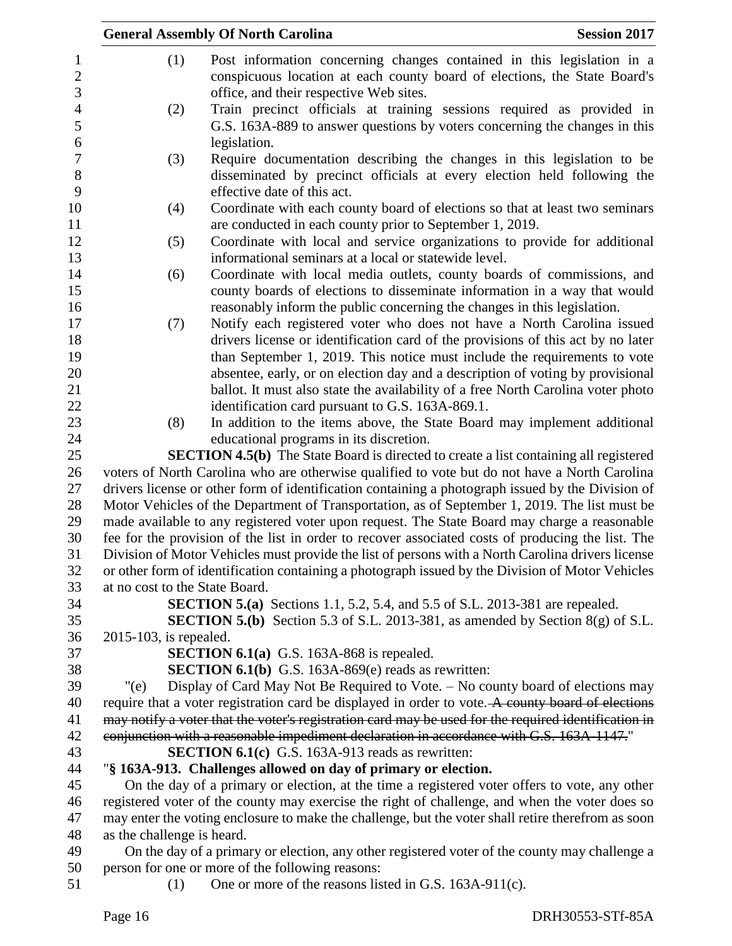|                                | <b>General Assembly Of North Carolina</b>                                                            | <b>Session 2017</b> |
|--------------------------------|------------------------------------------------------------------------------------------------------|---------------------|
| (1)                            | Post information concerning changes contained in this legislation in a                               |                     |
|                                | conspicuous location at each county board of elections, the State Board's                            |                     |
|                                | office, and their respective Web sites.                                                              |                     |
| (2)                            | Train precinct officials at training sessions required as provided in                                |                     |
|                                | G.S. 163A-889 to answer questions by voters concerning the changes in this                           |                     |
|                                | legislation.                                                                                         |                     |
| (3)                            | Require documentation describing the changes in this legislation to be                               |                     |
|                                | disseminated by precinct officials at every election held following the                              |                     |
|                                | effective date of this act.                                                                          |                     |
| (4)                            | Coordinate with each county board of elections so that at least two seminars                         |                     |
|                                | are conducted in each county prior to September 1, 2019.                                             |                     |
| (5)                            | Coordinate with local and service organizations to provide for additional                            |                     |
|                                | informational seminars at a local or statewide level.                                                |                     |
| (6)                            | Coordinate with local media outlets, county boards of commissions, and                               |                     |
|                                | county boards of elections to disseminate information in a way that would                            |                     |
|                                | reasonably inform the public concerning the changes in this legislation.                             |                     |
| (7)                            | Notify each registered voter who does not have a North Carolina issued                               |                     |
|                                | drivers license or identification card of the provisions of this act by no later                     |                     |
|                                | than September 1, 2019. This notice must include the requirements to vote                            |                     |
|                                | absentee, early, or on election day and a description of voting by provisional                       |                     |
|                                | ballot. It must also state the availability of a free North Carolina voter photo                     |                     |
|                                | identification card pursuant to G.S. 163A-869.1.                                                     |                     |
| (8)                            | In addition to the items above, the State Board may implement additional                             |                     |
|                                | educational programs in its discretion.                                                              |                     |
|                                | <b>SECTION 4.5(b)</b> The State Board is directed to create a list containing all registered         |                     |
|                                | voters of North Carolina who are otherwise qualified to vote but do not have a North Carolina        |                     |
|                                | drivers license or other form of identification containing a photograph issued by the Division of    |                     |
|                                | Motor Vehicles of the Department of Transportation, as of September 1, 2019. The list must be        |                     |
|                                | made available to any registered voter upon request. The State Board may charge a reasonable         |                     |
|                                | fee for the provision of the list in order to recover associated costs of producing the list. The    |                     |
|                                | Division of Motor Vehicles must provide the list of persons with a North Carolina drivers license    |                     |
|                                | or other form of identification containing a photograph issued by the Division of Motor Vehicles     |                     |
| at no cost to the State Board. |                                                                                                      |                     |
|                                | <b>SECTION 5.(a)</b> Sections 1.1, 5.2, 5.4, and 5.5 of S.L. 2013-381 are repealed.                  |                     |
|                                | <b>SECTION 5.(b)</b> Section 5.3 of S.L. 2013-381, as amended by Section 8(g) of S.L.                |                     |
| 2015-103, is repealed.         |                                                                                                      |                     |
|                                | <b>SECTION 6.1(a)</b> G.S. 163A-868 is repealed.                                                     |                     |
|                                | <b>SECTION 6.1(b)</b> G.S. 163A-869(e) reads as rewritten:                                           |                     |
| $"$ (e)                        | Display of Card May Not Be Required to Vote. – No county board of elections may                      |                     |
|                                | require that a voter registration card be displayed in order to vote. A county board of elections    |                     |
|                                | may notify a voter that the voter's registration card may be used for the required identification in |                     |
|                                | conjunction with a reasonable impediment declaration in accordance with G.S. 163A-1147."             |                     |
|                                | <b>SECTION 6.1(c)</b> G.S. 163A-913 reads as rewritten:                                              |                     |
|                                | "§ 163A-913. Challenges allowed on day of primary or election.                                       |                     |
|                                | On the day of a primary or election, at the time a registered voter offers to vote, any other        |                     |
|                                | registered voter of the county may exercise the right of challenge, and when the voter does so       |                     |
|                                | may enter the voting enclosure to make the challenge, but the voter shall retire therefrom as soon   |                     |
| as the challenge is heard.     |                                                                                                      |                     |
|                                | On the day of a primary or election, any other registered voter of the county may challenge a        |                     |
|                                | person for one or more of the following reasons:                                                     |                     |
| (1)                            | One or more of the reasons listed in G.S. 163A-911(c).                                               |                     |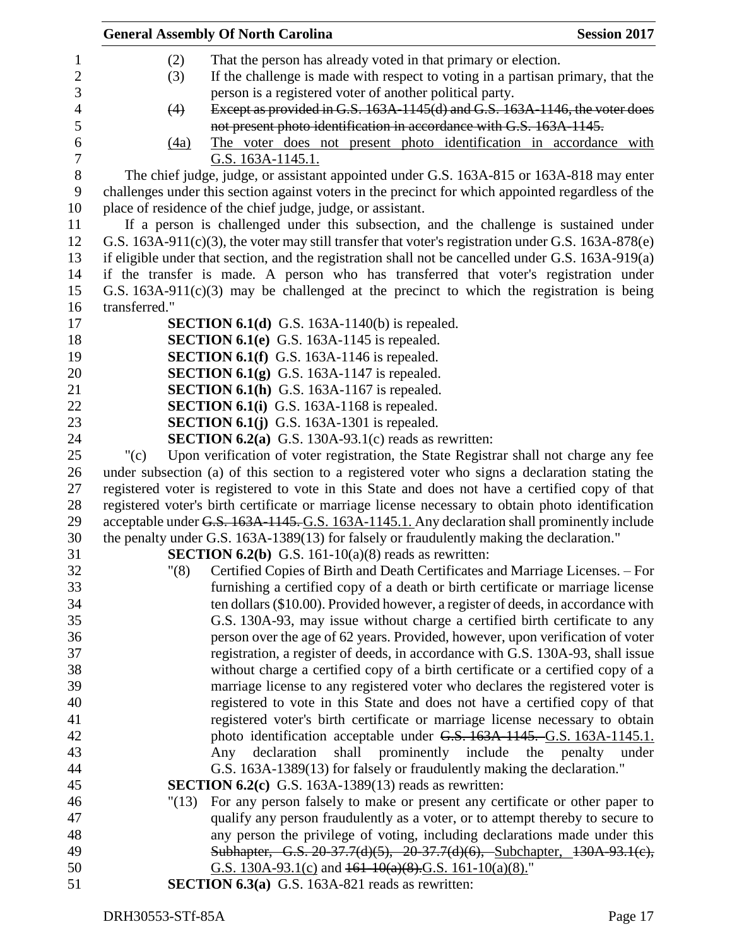|               | <b>General Assembly Of North Carolina</b>                                                          | <b>Session 2017</b> |
|---------------|----------------------------------------------------------------------------------------------------|---------------------|
| (2)           | That the person has already voted in that primary or election.                                     |                     |
| (3)           | If the challenge is made with respect to voting in a partisan primary, that the                    |                     |
|               | person is a registered voter of another political party.                                           |                     |
| (4)           | Except as provided in G.S. 163A-1145(d) and G.S. 163A-1146, the voter does                         |                     |
|               | not present photo identification in accordance with G.S. 163A-1145.                                |                     |
|               | The voter does not present photo identification in accordance with<br>(4a)                         |                     |
|               | G.S. 163A-1145.1.                                                                                  |                     |
|               | The chief judge, judge, or assistant appointed under G.S. 163A-815 or 163A-818 may enter           |                     |
|               | challenges under this section against voters in the precinct for which appointed regardless of the |                     |
|               | place of residence of the chief judge, judge, or assistant.                                        |                     |
|               | If a person is challenged under this subsection, and the challenge is sustained under              |                     |
|               | G.S. 163A-911(c)(3), the voter may still transfer that voter's registration under G.S. 163A-878(e) |                     |
|               | if eligible under that section, and the registration shall not be cancelled under G.S. 163A-919(a) |                     |
|               | if the transfer is made. A person who has transferred that voter's registration under              |                     |
|               | G.S. $163A-911(c)(3)$ may be challenged at the precinct to which the registration is being         |                     |
| transferred." |                                                                                                    |                     |
|               | <b>SECTION 6.1(d)</b> G.S. 163A-1140(b) is repealed.                                               |                     |
|               | SECTION 6.1(e) G.S. 163A-1145 is repealed.                                                         |                     |
|               | <b>SECTION 6.1(f)</b> G.S. 163A-1146 is repealed.                                                  |                     |
|               | <b>SECTION 6.1(g)</b> G.S. 163A-1147 is repealed.                                                  |                     |
|               | <b>SECTION 6.1(h)</b> G.S. 163A-1167 is repealed.                                                  |                     |
|               | <b>SECTION 6.1(i)</b> G.S. 163A-1168 is repealed.                                                  |                     |
|               | <b>SECTION 6.1(j)</b> G.S. 163A-1301 is repealed.                                                  |                     |
|               | <b>SECTION 6.2(a)</b> G.S. 130A-93.1(c) reads as rewritten:                                        |                     |
| " $(c)$       | Upon verification of voter registration, the State Registrar shall not charge any fee              |                     |
|               | under subsection (a) of this section to a registered voter who signs a declaration stating the     |                     |
|               | registered voter is registered to vote in this State and does not have a certified copy of that    |                     |
|               | registered voter's birth certificate or marriage license necessary to obtain photo identification  |                     |
|               | acceptable under G.S. 163A-1145. G.S. 163A-1145.1. Any declaration shall prominently include       |                     |
|               | the penalty under G.S. 163A-1389(13) for falsely or fraudulently making the declaration."          |                     |
|               | <b>SECTION 6.2(b)</b> G.S. 161-10(a)(8) reads as rewritten:                                        |                     |
|               | "(8)<br>Certified Copies of Birth and Death Certificates and Marriage Licenses. - For              |                     |
|               | furnishing a certified copy of a death or birth certificate or marriage license                    |                     |
|               | ten dollars (\$10.00). Provided however, a register of deeds, in accordance with                   |                     |
|               | G.S. 130A-93, may issue without charge a certified birth certificate to any                        |                     |
|               | person over the age of 62 years. Provided, however, upon verification of voter                     |                     |
|               | registration, a register of deeds, in accordance with G.S. 130A-93, shall issue                    |                     |
|               | without charge a certified copy of a birth certificate or a certified copy of a                    |                     |
|               | marriage license to any registered voter who declares the registered voter is                      |                     |
|               |                                                                                                    |                     |
|               | registered to vote in this State and does not have a certified copy of that                        |                     |
|               | registered voter's birth certificate or marriage license necessary to obtain                       |                     |
|               | photo identification acceptable under G.S. 163A-1145. G.S. 163A-1145.1.                            |                     |
|               | shall prominently include the penalty under<br>Any<br>declaration                                  |                     |
|               | G.S. 163A-1389(13) for falsely or fraudulently making the declaration."                            |                     |
|               | <b>SECTION 6.2(c)</b> G.S. 163A-1389(13) reads as rewritten:                                       |                     |
|               | For any person falsely to make or present any certificate or other paper to<br>"(13)               |                     |
|               | qualify any person fraudulently as a voter, or to attempt thereby to secure to                     |                     |
|               | any person the privilege of voting, including declarations made under this                         |                     |
|               | Subhapter, G.S. 20-37.7(d)(5), 20-37.7(d)(6), Subchapter, 130A-93.1(e),                            |                     |
|               | G.S. 130A-93.1(c) and $161-10(a)(8)$ .G.S. 161-10(a)(8)."                                          |                     |
|               | <b>SECTION 6.3(a)</b> G.S. 163A-821 reads as rewritten:                                            |                     |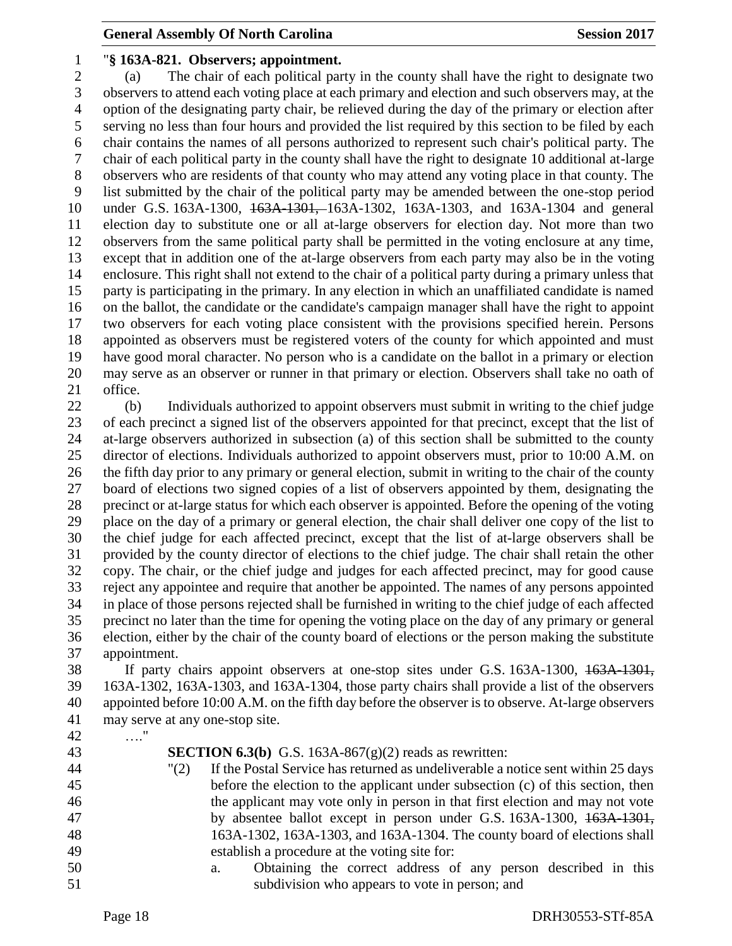#### "**§ 163A-821. Observers; appointment.**

 (a) The chair of each political party in the county shall have the right to designate two observers to attend each voting place at each primary and election and such observers may, at the option of the designating party chair, be relieved during the day of the primary or election after serving no less than four hours and provided the list required by this section to be filed by each chair contains the names of all persons authorized to represent such chair's political party. The chair of each political party in the county shall have the right to designate 10 additional at-large observers who are residents of that county who may attend any voting place in that county. The list submitted by the chair of the political party may be amended between the one-stop period under G.S. 163A-1300, 163A-1301, 163A-1302, 163A-1303, and 163A-1304 and general election day to substitute one or all at-large observers for election day. Not more than two observers from the same political party shall be permitted in the voting enclosure at any time, except that in addition one of the at-large observers from each party may also be in the voting enclosure. This right shall not extend to the chair of a political party during a primary unless that party is participating in the primary. In any election in which an unaffiliated candidate is named on the ballot, the candidate or the candidate's campaign manager shall have the right to appoint two observers for each voting place consistent with the provisions specified herein. Persons appointed as observers must be registered voters of the county for which appointed and must have good moral character. No person who is a candidate on the ballot in a primary or election may serve as an observer or runner in that primary or election. Observers shall take no oath of office.

 (b) Individuals authorized to appoint observers must submit in writing to the chief judge of each precinct a signed list of the observers appointed for that precinct, except that the list of at-large observers authorized in subsection (a) of this section shall be submitted to the county director of elections. Individuals authorized to appoint observers must, prior to 10:00 A.M. on the fifth day prior to any primary or general election, submit in writing to the chair of the county board of elections two signed copies of a list of observers appointed by them, designating the precinct or at-large status for which each observer is appointed. Before the opening of the voting place on the day of a primary or general election, the chair shall deliver one copy of the list to the chief judge for each affected precinct, except that the list of at-large observers shall be provided by the county director of elections to the chief judge. The chair shall retain the other copy. The chair, or the chief judge and judges for each affected precinct, may for good cause reject any appointee and require that another be appointed. The names of any persons appointed in place of those persons rejected shall be furnished in writing to the chief judge of each affected precinct no later than the time for opening the voting place on the day of any primary or general election, either by the chair of the county board of elections or the person making the substitute appointment.

 If party chairs appoint observers at one-stop sites under G.S. 163A-1300, 163A-1301, 163A-1302, 163A-1303, and 163A-1304, those party chairs shall provide a list of the observers appointed before 10:00 A.M. on the fifth day before the observer is to observe. At-large observers may serve at any one-stop site.

…."

 **SECTION 6.3(b)** G.S. 163A-867(g)(2) reads as rewritten: "(2) If the Postal Service has returned as undeliverable a notice sent within 25 days before the election to the applicant under subsection (c) of this section, then the applicant may vote only in person in that first election and may not vote 47 by absentee ballot except in person under G.S. 163A-1300, 163A-1301, 163A-1302, 163A-1303, and 163A-1304. The county board of elections shall establish a procedure at the voting site for: a. Obtaining the correct address of any person described in this subdivision who appears to vote in person; and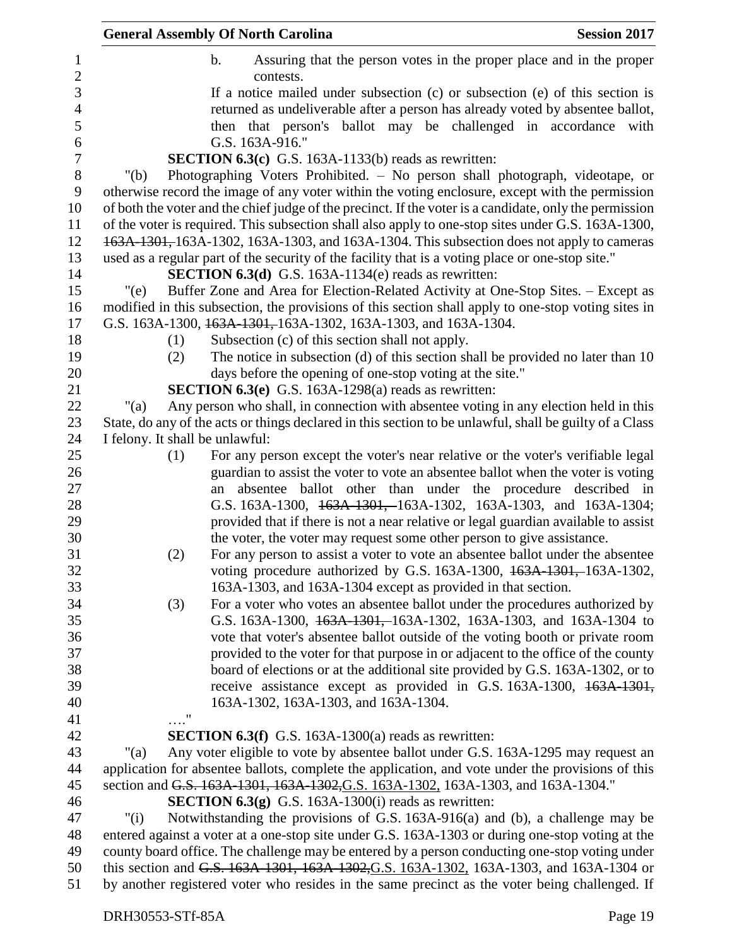|                                 | <b>General Assembly Of North Carolina</b>                                                                                                                                                                  | <b>Session 2017</b> |
|---------------------------------|------------------------------------------------------------------------------------------------------------------------------------------------------------------------------------------------------------|---------------------|
|                                 | $\mathbf b$ .<br>Assuring that the person votes in the proper place and in the proper<br>contests.                                                                                                         |                     |
|                                 | If a notice mailed under subsection $(c)$ or subsection $(e)$ of this section is                                                                                                                           |                     |
|                                 | returned as undeliverable after a person has already voted by absentee ballot,                                                                                                                             |                     |
|                                 | then that person's ballot may be challenged in accordance with                                                                                                                                             |                     |
|                                 | G.S. 163A-916."                                                                                                                                                                                            |                     |
|                                 | SECTION 6.3(c) G.S. 163A-1133(b) reads as rewritten:                                                                                                                                                       |                     |
| " $(b)$                         | Photographing Voters Prohibited. - No person shall photograph, videotape, or                                                                                                                               |                     |
|                                 | otherwise record the image of any voter within the voting enclosure, except with the permission<br>of both the voter and the chief judge of the precinct. If the voter is a candidate, only the permission |                     |
|                                 | of the voter is required. This subsection shall also apply to one-stop sites under G.S. 163A-1300,<br>163A-1301, 163A-1302, 163A-1303, and 163A-1304. This subsection does not apply to cameras            |                     |
|                                 | used as a regular part of the security of the facility that is a voting place or one-stop site."                                                                                                           |                     |
|                                 | <b>SECTION 6.3(d)</b> G.S. 163A-1134(e) reads as rewritten:                                                                                                                                                |                     |
| "(e)                            | Buffer Zone and Area for Election-Related Activity at One-Stop Sites. – Except as                                                                                                                          |                     |
|                                 | modified in this subsection, the provisions of this section shall apply to one-stop voting sites in                                                                                                        |                     |
|                                 | G.S. 163A-1300, 163A-1301, 163A-1302, 163A-1303, and 163A-1304.                                                                                                                                            |                     |
| (1)                             | Subsection (c) of this section shall not apply.                                                                                                                                                            |                     |
| (2)                             | The notice in subsection (d) of this section shall be provided no later than 10                                                                                                                            |                     |
|                                 | days before the opening of one-stop voting at the site."                                                                                                                                                   |                     |
|                                 | <b>SECTION 6.3(e)</b> G.S. 163A-1298(a) reads as rewritten:                                                                                                                                                |                     |
| " $(a)$                         | Any person who shall, in connection with absentee voting in any election held in this                                                                                                                      |                     |
|                                 | State, do any of the acts or things declared in this section to be unlawful, shall be guilty of a Class                                                                                                    |                     |
| I felony. It shall be unlawful: |                                                                                                                                                                                                            |                     |
| (1)                             | For any person except the voter's near relative or the voter's verifiable legal                                                                                                                            |                     |
|                                 | guardian to assist the voter to vote an absentee ballot when the voter is voting                                                                                                                           |                     |
|                                 | absentee ballot other than under the procedure described in<br>an                                                                                                                                          |                     |
|                                 | G.S. 163A-1300, 463A-1301, 163A-1302, 163A-1303, and 163A-1304;                                                                                                                                            |                     |
|                                 | provided that if there is not a near relative or legal guardian available to assist                                                                                                                        |                     |
|                                 | the voter, the voter may request some other person to give assistance.                                                                                                                                     |                     |
| (2)                             | For any person to assist a voter to vote an absentee ballot under the absentee                                                                                                                             |                     |
|                                 | voting procedure authorized by G.S. 163A-1300, 163A-1301, 163A-1302,                                                                                                                                       |                     |
|                                 | 163A-1303, and 163A-1304 except as provided in that section.                                                                                                                                               |                     |
| (3)                             | For a voter who votes an absentee ballot under the procedures authorized by                                                                                                                                |                     |
|                                 | G.S. 163A-1300, 163A-1301, 163A-1302, 163A-1303, and 163A-1304 to<br>vote that voter's absentee ballot outside of the voting booth or private room                                                         |                     |
|                                 | provided to the voter for that purpose in or adjacent to the office of the county                                                                                                                          |                     |
|                                 | board of elections or at the additional site provided by G.S. 163A-1302, or to                                                                                                                             |                     |
|                                 | receive assistance except as provided in G.S. 163A-1300, 163A-1301,                                                                                                                                        |                     |
|                                 | 163A-1302, 163A-1303, and 163A-1304.                                                                                                                                                                       |                     |
| $\ldots$ ."                     |                                                                                                                                                                                                            |                     |
|                                 | <b>SECTION 6.3(f)</b> G.S. 163A-1300(a) reads as rewritten:                                                                                                                                                |                     |
| " $(a)$                         | Any voter eligible to vote by absentee ballot under G.S. 163A-1295 may request an                                                                                                                          |                     |
|                                 | application for absentee ballots, complete the application, and vote under the provisions of this                                                                                                          |                     |
|                                 | section and G.S. 163A-1301, 163A-1302, G.S. 163A-1302, 163A-1303, and 163A-1304."                                                                                                                          |                     |
|                                 | <b>SECTION 6.3(g)</b> G.S. 163A-1300(i) reads as rewritten:                                                                                                                                                |                     |
| " $(i)$                         | Notwithstanding the provisions of G.S. 163A-916(a) and (b), a challenge may be                                                                                                                             |                     |
|                                 | entered against a voter at a one-stop site under G.S. 163A-1303 or during one-stop voting at the                                                                                                           |                     |
|                                 | county board office. The challenge may be entered by a person conducting one-stop voting under                                                                                                             |                     |
|                                 | this section and G.S. 163A-1301, 163A-1302, G.S. 163A-1302, 163A-1303, and 163A-1304 or                                                                                                                    |                     |
|                                 | by another registered voter who resides in the same precinct as the voter being challenged. If                                                                                                             |                     |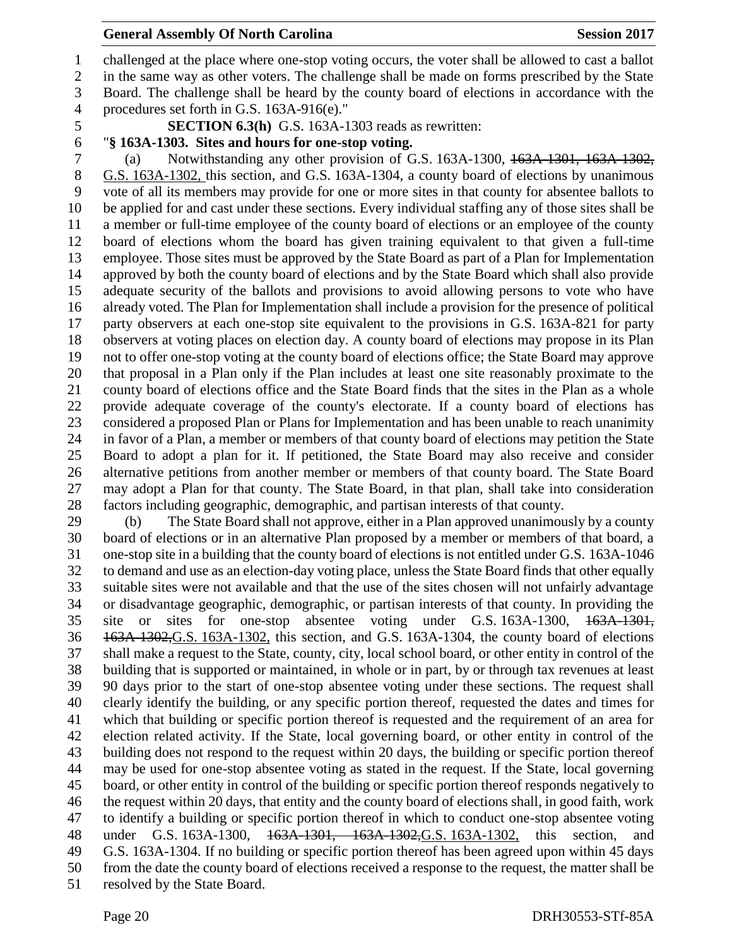challenged at the place where one-stop voting occurs, the voter shall be allowed to cast a ballot in the same way as other voters. The challenge shall be made on forms prescribed by the State Board. The challenge shall be heard by the county board of elections in accordance with the

- procedures set forth in G.S. 163A-916(e)."
- **SECTION 6.3(h)** G.S. 163A-1303 reads as rewritten:
- "**§ 163A-1303. Sites and hours for one-stop voting.**

 (a) Notwithstanding any other provision of G.S. 163A-1300, 163A-1301, 163A-1302, G.S. 163A-1302, this section, and G.S. 163A-1304, a county board of elections by unanimous vote of all its members may provide for one or more sites in that county for absentee ballots to be applied for and cast under these sections. Every individual staffing any of those sites shall be a member or full-time employee of the county board of elections or an employee of the county board of elections whom the board has given training equivalent to that given a full-time employee. Those sites must be approved by the State Board as part of a Plan for Implementation approved by both the county board of elections and by the State Board which shall also provide adequate security of the ballots and provisions to avoid allowing persons to vote who have already voted. The Plan for Implementation shall include a provision for the presence of political party observers at each one-stop site equivalent to the provisions in G.S. 163A-821 for party observers at voting places on election day. A county board of elections may propose in its Plan not to offer one-stop voting at the county board of elections office; the State Board may approve that proposal in a Plan only if the Plan includes at least one site reasonably proximate to the county board of elections office and the State Board finds that the sites in the Plan as a whole provide adequate coverage of the county's electorate. If a county board of elections has considered a proposed Plan or Plans for Implementation and has been unable to reach unanimity in favor of a Plan, a member or members of that county board of elections may petition the State Board to adopt a plan for it. If petitioned, the State Board may also receive and consider alternative petitions from another member or members of that county board. The State Board may adopt a Plan for that county. The State Board, in that plan, shall take into consideration factors including geographic, demographic, and partisan interests of that county.

 (b) The State Board shall not approve, either in a Plan approved unanimously by a county board of elections or in an alternative Plan proposed by a member or members of that board, a one-stop site in a building that the county board of elections is not entitled under G.S. 163A-1046 to demand and use as an election-day voting place, unless the State Board finds that other equally suitable sites were not available and that the use of the sites chosen will not unfairly advantage or disadvantage geographic, demographic, or partisan interests of that county. In providing the site or sites for one-stop absentee voting under G.S. 163A-1300, 163A-1301, 163A-1302,G.S. 163A-1302, this section, and G.S. 163A-1304, the county board of elections shall make a request to the State, county, city, local school board, or other entity in control of the building that is supported or maintained, in whole or in part, by or through tax revenues at least 90 days prior to the start of one-stop absentee voting under these sections. The request shall clearly identify the building, or any specific portion thereof, requested the dates and times for which that building or specific portion thereof is requested and the requirement of an area for election related activity. If the State, local governing board, or other entity in control of the building does not respond to the request within 20 days, the building or specific portion thereof may be used for one-stop absentee voting as stated in the request. If the State, local governing board, or other entity in control of the building or specific portion thereof responds negatively to the request within 20 days, that entity and the county board of elections shall, in good faith, work to identify a building or specific portion thereof in which to conduct one-stop absentee voting under G.S. 163A-1300, 163A-1301, 163A-1302,G.S. 163A-1302, this section, and G.S. 163A-1304. If no building or specific portion thereof has been agreed upon within 45 days from the date the county board of elections received a response to the request, the matter shall be resolved by the State Board.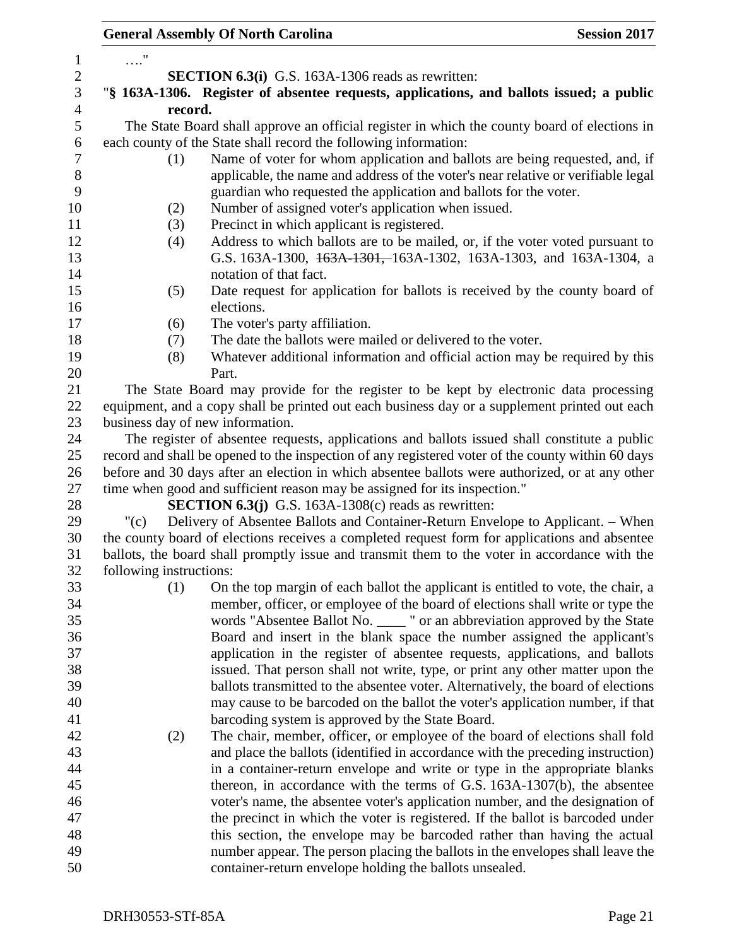|                         | <b>General Assembly Of North Carolina</b>                                                         | <b>Session 2017</b> |
|-------------------------|---------------------------------------------------------------------------------------------------|---------------------|
| $\ldots$ "              |                                                                                                   |                     |
|                         | <b>SECTION 6.3(i)</b> G.S. 163A-1306 reads as rewritten:                                          |                     |
|                         | "§ 163A-1306. Register of absentee requests, applications, and ballots issued; a public           |                     |
| record.                 |                                                                                                   |                     |
|                         | The State Board shall approve an official register in which the county board of elections in      |                     |
|                         | each county of the State shall record the following information:                                  |                     |
|                         | Name of voter for whom application and ballots are being requested, and, if                       |                     |
| (1)                     | applicable, the name and address of the voter's near relative or verifiable legal                 |                     |
|                         |                                                                                                   |                     |
|                         | guardian who requested the application and ballots for the voter.                                 |                     |
| (2)                     | Number of assigned voter's application when issued.                                               |                     |
| (3)                     | Precinct in which applicant is registered.                                                        |                     |
| (4)                     | Address to which ballots are to be mailed, or, if the voter voted pursuant to                     |                     |
|                         | G.S. 163A-1300, 163A-1301, 163A-1302, 163A-1303, and 163A-1304, a                                 |                     |
|                         | notation of that fact.                                                                            |                     |
| (5)                     | Date request for application for ballots is received by the county board of                       |                     |
|                         | elections.                                                                                        |                     |
| (6)                     | The voter's party affiliation.                                                                    |                     |
| (7)                     | The date the ballots were mailed or delivered to the voter.                                       |                     |
| (8)                     | Whatever additional information and official action may be required by this                       |                     |
|                         | Part.                                                                                             |                     |
|                         | The State Board may provide for the register to be kept by electronic data processing             |                     |
|                         | equipment, and a copy shall be printed out each business day or a supplement printed out each     |                     |
|                         | business day of new information.                                                                  |                     |
|                         | The register of absentee requests, applications and ballots issued shall constitute a public      |                     |
|                         | record and shall be opened to the inspection of any registered voter of the county within 60 days |                     |
|                         | before and 30 days after an election in which absentee ballots were authorized, or at any other   |                     |
|                         | time when good and sufficient reason may be assigned for its inspection."                         |                     |
|                         | <b>SECTION 6.3(j)</b> G.S. 163A-1308(c) reads as rewritten:                                       |                     |
| "(c)                    | Delivery of Absentee Ballots and Container-Return Envelope to Applicant. – When                   |                     |
|                         | the county board of elections receives a completed request form for applications and absentee     |                     |
|                         | ballots, the board shall promptly issue and transmit them to the voter in accordance with the     |                     |
| following instructions: |                                                                                                   |                     |
| (1)                     | On the top margin of each ballot the applicant is entitled to vote, the chair, a                  |                     |
|                         | member, officer, or employee of the board of elections shall write or type the                    |                     |
|                         | words "Absentee Ballot No. _____ " or an abbreviation approved by the State                       |                     |
|                         | Board and insert in the blank space the number assigned the applicant's                           |                     |
|                         | application in the register of absentee requests, applications, and ballots                       |                     |
|                         | issued. That person shall not write, type, or print any other matter upon the                     |                     |
|                         | ballots transmitted to the absentee voter. Alternatively, the board of elections                  |                     |
|                         | may cause to be barcoded on the ballot the voter's application number, if that                    |                     |
|                         | barcoding system is approved by the State Board.                                                  |                     |
| (2)                     | The chair, member, officer, or employee of the board of elections shall fold                      |                     |
|                         | and place the ballots (identified in accordance with the preceding instruction)                   |                     |
|                         | in a container-return envelope and write or type in the appropriate blanks                        |                     |
|                         | thereon, in accordance with the terms of G.S. 163A-1307(b), the absentee                          |                     |
|                         | voter's name, the absentee voter's application number, and the designation of                     |                     |
|                         | the precinct in which the voter is registered. If the ballot is barcoded under                    |                     |
|                         | this section, the envelope may be barcoded rather than having the actual                          |                     |
|                         | number appear. The person placing the ballots in the envelopes shall leave the                    |                     |
|                         | container-return envelope holding the ballots unsealed.                                           |                     |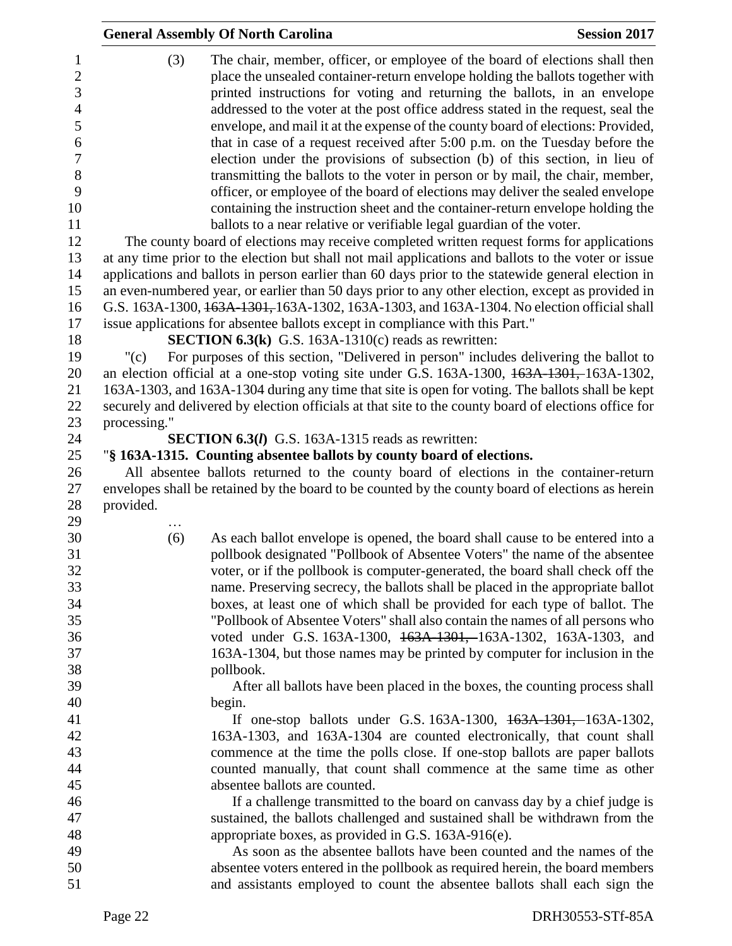|                                                       |                                                                                                                                                                                                           | <b>General Assembly Of North Carolina</b>                                                                                                                                                                                                                                                                                        | <b>Session 2017</b> |  |  |
|-------------------------------------------------------|-----------------------------------------------------------------------------------------------------------------------------------------------------------------------------------------------------------|----------------------------------------------------------------------------------------------------------------------------------------------------------------------------------------------------------------------------------------------------------------------------------------------------------------------------------|---------------------|--|--|
| $\mathbf{1}$<br>$\overline{2}$<br>3<br>$\overline{4}$ | (3)                                                                                                                                                                                                       | The chair, member, officer, or employee of the board of elections shall then<br>place the unsealed container-return envelope holding the ballots together with<br>printed instructions for voting and returning the ballots, in an envelope<br>addressed to the voter at the post office address stated in the request, seal the |                     |  |  |
| 5<br>6                                                |                                                                                                                                                                                                           | envelope, and mail it at the expense of the county board of elections: Provided,<br>that in case of a request received after 5:00 p.m. on the Tuesday before the                                                                                                                                                                 |                     |  |  |
| $\boldsymbol{7}$                                      |                                                                                                                                                                                                           | election under the provisions of subsection (b) of this section, in lieu of                                                                                                                                                                                                                                                      |                     |  |  |
| 8<br>9<br>10                                          |                                                                                                                                                                                                           | transmitting the ballots to the voter in person or by mail, the chair, member,<br>officer, or employee of the board of elections may deliver the sealed envelope<br>containing the instruction sheet and the container-return envelope holding the                                                                               |                     |  |  |
| 11                                                    |                                                                                                                                                                                                           | ballots to a near relative or verifiable legal guardian of the voter.                                                                                                                                                                                                                                                            |                     |  |  |
| 12                                                    |                                                                                                                                                                                                           | The county board of elections may receive completed written request forms for applications                                                                                                                                                                                                                                       |                     |  |  |
| 13<br>14                                              |                                                                                                                                                                                                           | at any time prior to the election but shall not mail applications and ballots to the voter or issue<br>applications and ballots in person earlier than 60 days prior to the statewide general election in                                                                                                                        |                     |  |  |
| 15                                                    |                                                                                                                                                                                                           | an even-numbered year, or earlier than 50 days prior to any other election, except as provided in                                                                                                                                                                                                                                |                     |  |  |
| 16                                                    |                                                                                                                                                                                                           | G.S. 163A-1300, 163A-1301, 163A-1302, 163A-1303, and 163A-1304. No election official shall                                                                                                                                                                                                                                       |                     |  |  |
| 17                                                    |                                                                                                                                                                                                           | issue applications for absentee ballots except in compliance with this Part."                                                                                                                                                                                                                                                    |                     |  |  |
| 18                                                    |                                                                                                                                                                                                           | <b>SECTION 6.3(k)</b> G.S. 163A-1310(c) reads as rewritten:                                                                                                                                                                                                                                                                      |                     |  |  |
| 19                                                    | " $(c)$                                                                                                                                                                                                   | For purposes of this section, "Delivered in person" includes delivering the ballot to                                                                                                                                                                                                                                            |                     |  |  |
| 20<br>21                                              |                                                                                                                                                                                                           | an election official at a one-stop voting site under G.S. 163A-1300, 163A-1301, 163A-1302,                                                                                                                                                                                                                                       |                     |  |  |
|                                                       | 163A-1303, and 163A-1304 during any time that site is open for voting. The ballots shall be kept<br>securely and delivered by election officials at that site to the county board of elections office for |                                                                                                                                                                                                                                                                                                                                  |                     |  |  |
| 22                                                    |                                                                                                                                                                                                           |                                                                                                                                                                                                                                                                                                                                  |                     |  |  |
| 23<br>24                                              | processing."                                                                                                                                                                                              | <b>SECTION 6.3(l)</b> G.S. 163A-1315 reads as rewritten:                                                                                                                                                                                                                                                                         |                     |  |  |
| 25                                                    |                                                                                                                                                                                                           | "§ 163A-1315. Counting absentee ballots by county board of elections.                                                                                                                                                                                                                                                            |                     |  |  |
| 26                                                    |                                                                                                                                                                                                           | All absentee ballots returned to the county board of elections in the container-return                                                                                                                                                                                                                                           |                     |  |  |
| 27                                                    |                                                                                                                                                                                                           | envelopes shall be retained by the board to be counted by the county board of elections as herein                                                                                                                                                                                                                                |                     |  |  |
| 28                                                    | provided.                                                                                                                                                                                                 |                                                                                                                                                                                                                                                                                                                                  |                     |  |  |
| 29                                                    |                                                                                                                                                                                                           |                                                                                                                                                                                                                                                                                                                                  |                     |  |  |
| 30                                                    | (6)                                                                                                                                                                                                       | As each ballot envelope is opened, the board shall cause to be entered into a                                                                                                                                                                                                                                                    |                     |  |  |
| 32                                                    |                                                                                                                                                                                                           | pollbook designated "Pollbook of Absentee Voters" the name of the absentee<br>voter, or if the pollbook is computer-generated, the board shall check off the                                                                                                                                                                     |                     |  |  |
| 33                                                    |                                                                                                                                                                                                           | name. Preserving secrecy, the ballots shall be placed in the appropriate ballot                                                                                                                                                                                                                                                  |                     |  |  |
| 34                                                    |                                                                                                                                                                                                           | boxes, at least one of which shall be provided for each type of ballot. The                                                                                                                                                                                                                                                      |                     |  |  |
|                                                       |                                                                                                                                                                                                           | "Pollbook of Absentee Voters" shall also contain the names of all persons who                                                                                                                                                                                                                                                    |                     |  |  |
|                                                       |                                                                                                                                                                                                           | voted under G.S. 163A-1300, 463A-1301, 163A-1302, 163A-1303, and                                                                                                                                                                                                                                                                 |                     |  |  |
|                                                       |                                                                                                                                                                                                           | 163A-1304, but those names may be printed by computer for inclusion in the                                                                                                                                                                                                                                                       |                     |  |  |
|                                                       |                                                                                                                                                                                                           | pollbook.                                                                                                                                                                                                                                                                                                                        |                     |  |  |
|                                                       |                                                                                                                                                                                                           | After all ballots have been placed in the boxes, the counting process shall                                                                                                                                                                                                                                                      |                     |  |  |
| 40                                                    |                                                                                                                                                                                                           | begin.                                                                                                                                                                                                                                                                                                                           |                     |  |  |
|                                                       |                                                                                                                                                                                                           | If one-stop ballots under G.S. 163A-1300, 163A-1301, -163A-1302,                                                                                                                                                                                                                                                                 |                     |  |  |
| 42                                                    |                                                                                                                                                                                                           | 163A-1303, and 163A-1304 are counted electronically, that count shall                                                                                                                                                                                                                                                            |                     |  |  |
| 43                                                    |                                                                                                                                                                                                           | commence at the time the polls close. If one-stop ballots are paper ballots                                                                                                                                                                                                                                                      |                     |  |  |
| 44<br>45                                              |                                                                                                                                                                                                           | counted manually, that count shall commence at the same time as other                                                                                                                                                                                                                                                            |                     |  |  |
| 46                                                    |                                                                                                                                                                                                           | absentee ballots are counted.                                                                                                                                                                                                                                                                                                    |                     |  |  |
|                                                       |                                                                                                                                                                                                           | If a challenge transmitted to the board on canvass day by a chief judge is<br>sustained, the ballots challenged and sustained shall be withdrawn from the                                                                                                                                                                        |                     |  |  |
|                                                       |                                                                                                                                                                                                           | appropriate boxes, as provided in G.S. 163A-916(e).                                                                                                                                                                                                                                                                              |                     |  |  |
|                                                       |                                                                                                                                                                                                           | As soon as the absentee ballots have been counted and the names of the                                                                                                                                                                                                                                                           |                     |  |  |
|                                                       |                                                                                                                                                                                                           | absentee voters entered in the pollbook as required herein, the board members                                                                                                                                                                                                                                                    |                     |  |  |
| 50<br>51                                              |                                                                                                                                                                                                           | and assistants employed to count the absentee ballots shall each sign the                                                                                                                                                                                                                                                        |                     |  |  |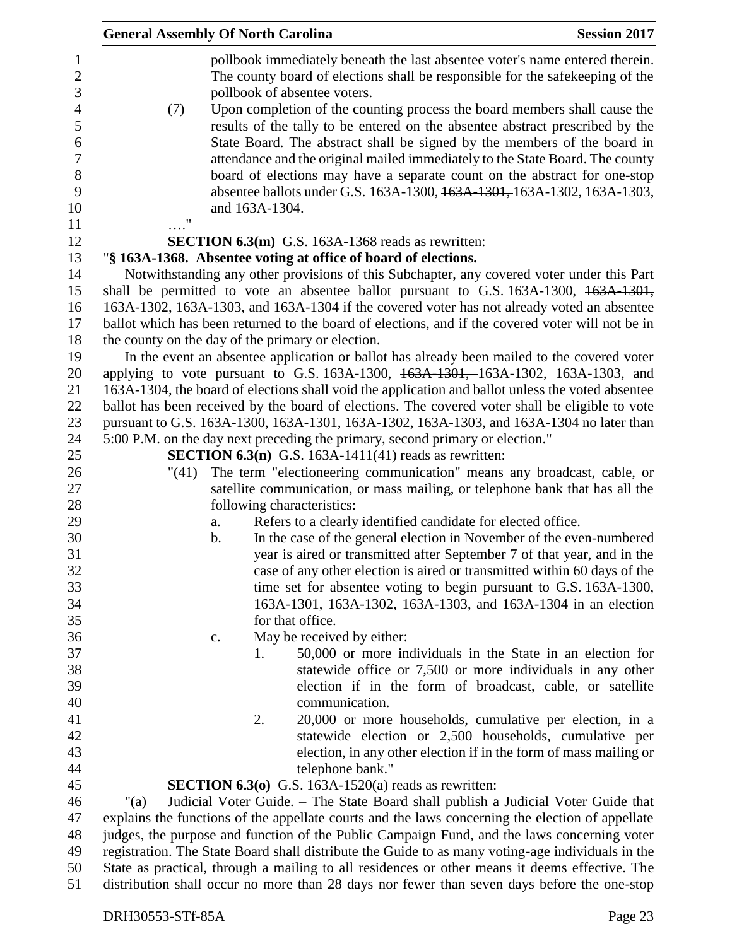| <b>General Assembly Of North Carolina</b> |    |                |                                                                                                                                                                                                                                                                                                                                                                                                      | <b>Session 2017</b> |
|-------------------------------------------|----|----------------|------------------------------------------------------------------------------------------------------------------------------------------------------------------------------------------------------------------------------------------------------------------------------------------------------------------------------------------------------------------------------------------------------|---------------------|
|                                           |    |                | pollbook immediately beneath the last absentee voter's name entered therein.<br>The county board of elections shall be responsible for the safekeeping of the<br>pollbook of absentee voters.                                                                                                                                                                                                        |                     |
| (7)                                       |    |                | Upon completion of the counting process the board members shall cause the<br>results of the tally to be entered on the absentee abstract prescribed by the<br>State Board. The abstract shall be signed by the members of the board in<br>attendance and the original mailed immediately to the State Board. The county<br>board of elections may have a separate count on the abstract for one-stop |                     |
| $\ldots$ "                                |    | and 163A-1304. | absentee ballots under G.S. 163A-1300, 163A-1301, 163A-1302, 163A-1303,                                                                                                                                                                                                                                                                                                                              |                     |
|                                           |    |                | <b>SECTION 6.3(m)</b> G.S. 163A-1368 reads as rewritten:                                                                                                                                                                                                                                                                                                                                             |                     |
|                                           |    |                | "§ 163A-1368. Absentee voting at office of board of elections.                                                                                                                                                                                                                                                                                                                                       |                     |
|                                           |    |                | Notwithstanding any other provisions of this Subchapter, any covered voter under this Part                                                                                                                                                                                                                                                                                                           |                     |
|                                           |    |                | shall be permitted to vote an absentee ballot pursuant to G.S. 163A-1300, 163A-1301,                                                                                                                                                                                                                                                                                                                 |                     |
|                                           |    |                | 163A-1302, 163A-1303, and 163A-1304 if the covered voter has not already voted an absentee                                                                                                                                                                                                                                                                                                           |                     |
|                                           |    |                | ballot which has been returned to the board of elections, and if the covered voter will not be in                                                                                                                                                                                                                                                                                                    |                     |
|                                           |    |                | the county on the day of the primary or election.                                                                                                                                                                                                                                                                                                                                                    |                     |
|                                           |    |                | In the event an absentee application or ballot has already been mailed to the covered voter                                                                                                                                                                                                                                                                                                          |                     |
|                                           |    |                | applying to vote pursuant to G.S. 163A-1300, 163A-1301, 163A-1302, 163A-1303, and                                                                                                                                                                                                                                                                                                                    |                     |
|                                           |    |                | 163A-1304, the board of elections shall void the application and ballot unless the voted absentee                                                                                                                                                                                                                                                                                                    |                     |
|                                           |    |                | ballot has been received by the board of elections. The covered voter shall be eligible to vote                                                                                                                                                                                                                                                                                                      |                     |
|                                           |    |                | pursuant to G.S. 163A-1300, 163A-1301, 163A-1302, 163A-1303, and 163A-1304 no later than                                                                                                                                                                                                                                                                                                             |                     |
|                                           |    |                | 5:00 P.M. on the day next preceding the primary, second primary or election."                                                                                                                                                                                                                                                                                                                        |                     |
|                                           |    |                | <b>SECTION 6.3(n)</b> G.S. 163A-1411(41) reads as rewritten:                                                                                                                                                                                                                                                                                                                                         |                     |
| "(41)                                     |    |                | The term "electioneering communication" means any broadcast, cable, or                                                                                                                                                                                                                                                                                                                               |                     |
|                                           |    |                | satellite communication, or mass mailing, or telephone bank that has all the                                                                                                                                                                                                                                                                                                                         |                     |
|                                           |    |                | following characteristics:                                                                                                                                                                                                                                                                                                                                                                           |                     |
|                                           | a. |                | Refers to a clearly identified candidate for elected office.                                                                                                                                                                                                                                                                                                                                         |                     |
|                                           | b. |                | In the case of the general election in November of the even-numbered                                                                                                                                                                                                                                                                                                                                 |                     |
|                                           |    |                | year is aired or transmitted after September 7 of that year, and in the                                                                                                                                                                                                                                                                                                                              |                     |
|                                           |    |                | case of any other election is aired or transmitted within 60 days of the                                                                                                                                                                                                                                                                                                                             |                     |
|                                           |    |                | time set for absentee voting to begin pursuant to G.S. 163A-1300,                                                                                                                                                                                                                                                                                                                                    |                     |
|                                           |    |                | 163A-1301, 163A-1302, 163A-1303, and 163A-1304 in an election                                                                                                                                                                                                                                                                                                                                        |                     |
|                                           |    |                | for that office.                                                                                                                                                                                                                                                                                                                                                                                     |                     |
|                                           | c. |                | May be received by either:                                                                                                                                                                                                                                                                                                                                                                           |                     |
|                                           |    | 1.             | 50,000 or more individuals in the State in an election for                                                                                                                                                                                                                                                                                                                                           |                     |
|                                           |    |                | statewide office or 7,500 or more individuals in any other                                                                                                                                                                                                                                                                                                                                           |                     |
|                                           |    |                | election if in the form of broadcast, cable, or satellite                                                                                                                                                                                                                                                                                                                                            |                     |
|                                           |    |                | communication.                                                                                                                                                                                                                                                                                                                                                                                       |                     |
|                                           |    | 2.             | 20,000 or more households, cumulative per election, in a                                                                                                                                                                                                                                                                                                                                             |                     |
|                                           |    |                | statewide election or 2,500 households, cumulative per                                                                                                                                                                                                                                                                                                                                               |                     |
|                                           |    |                | election, in any other election if in the form of mass mailing or                                                                                                                                                                                                                                                                                                                                    |                     |
|                                           |    |                | telephone bank."                                                                                                                                                                                                                                                                                                                                                                                     |                     |
|                                           |    |                | <b>SECTION 6.3(0)</b> G.S. 163A-1520(a) reads as rewritten:                                                                                                                                                                                                                                                                                                                                          |                     |
| " $(a)$                                   |    |                | Judicial Voter Guide. - The State Board shall publish a Judicial Voter Guide that                                                                                                                                                                                                                                                                                                                    |                     |
|                                           |    |                | explains the functions of the appellate courts and the laws concerning the election of appellate                                                                                                                                                                                                                                                                                                     |                     |
|                                           |    |                | judges, the purpose and function of the Public Campaign Fund, and the laws concerning voter                                                                                                                                                                                                                                                                                                          |                     |
|                                           |    |                | registration. The State Board shall distribute the Guide to as many voting-age individuals in the<br>State as practical, through a mailing to all residences or other means it deems effective. The                                                                                                                                                                                                  |                     |
|                                           |    |                |                                                                                                                                                                                                                                                                                                                                                                                                      |                     |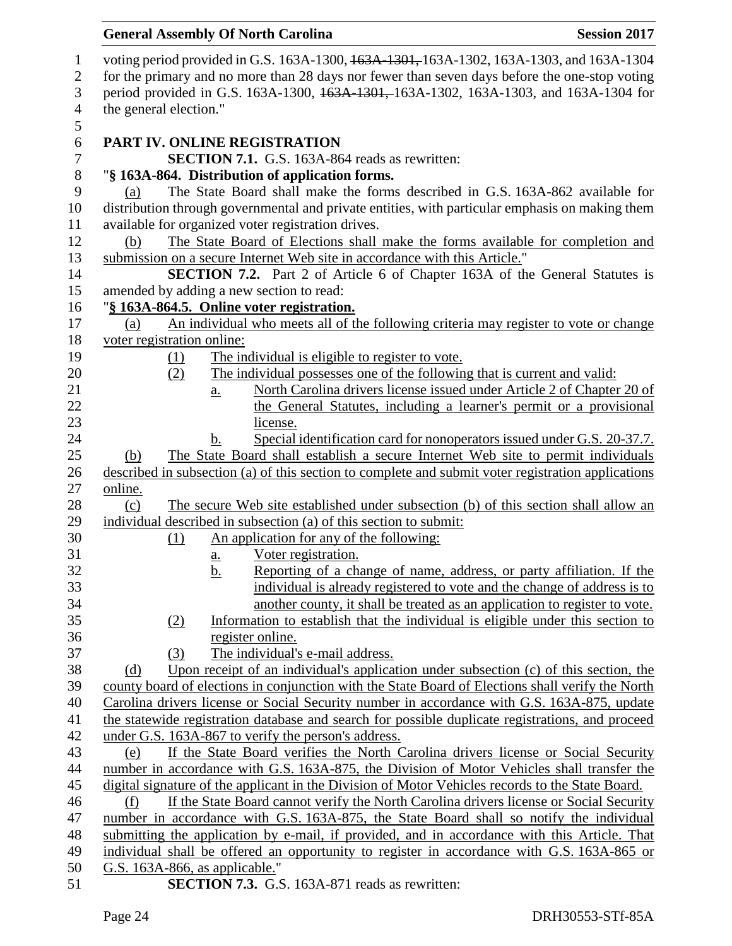| voting period provided in G.S. 163A-1300, 163A-1301, 163A-1302, 163A-1303, and 163A-1304                                     |  |  |  |  |
|------------------------------------------------------------------------------------------------------------------------------|--|--|--|--|
| for the primary and no more than 28 days nor fewer than seven days before the one-stop voting                                |  |  |  |  |
| period provided in G.S. 163A-1300, 163A-1301, 163A-1302, 163A-1303, and 163A-1304 for                                        |  |  |  |  |
| the general election."                                                                                                       |  |  |  |  |
|                                                                                                                              |  |  |  |  |
| PART IV. ONLINE REGISTRATION                                                                                                 |  |  |  |  |
| <b>SECTION 7.1.</b> G.S. 163A-864 reads as rewritten:                                                                        |  |  |  |  |
| "§ 163A-864. Distribution of application forms.                                                                              |  |  |  |  |
| The State Board shall make the forms described in G.S. 163A-862 available for<br>(a)                                         |  |  |  |  |
| distribution through governmental and private entities, with particular emphasis on making them                              |  |  |  |  |
| available for organized voter registration drives.                                                                           |  |  |  |  |
| The State Board of Elections shall make the forms available for completion and<br>(b)                                        |  |  |  |  |
| submission on a secure Internet Web site in accordance with this Article."                                                   |  |  |  |  |
| <b>SECTION 7.2.</b> Part 2 of Article 6 of Chapter 163A of the General Statutes is                                           |  |  |  |  |
| amended by adding a new section to read:                                                                                     |  |  |  |  |
| "§ 163A-864.5. Online voter registration.                                                                                    |  |  |  |  |
| An individual who meets all of the following criteria may register to vote or change<br>(a)                                  |  |  |  |  |
| voter registration online:                                                                                                   |  |  |  |  |
| The individual is eligible to register to vote.<br>$\Omega$                                                                  |  |  |  |  |
| The individual possesses one of the following that is current and valid:<br>(2)                                              |  |  |  |  |
| North Carolina drivers license issued under Article 2 of Chapter 20 of<br>a.                                                 |  |  |  |  |
| the General Statutes, including a learner's permit or a provisional                                                          |  |  |  |  |
| license.                                                                                                                     |  |  |  |  |
| Special identification card for nonoperators issued under G.S. 20-37.7.<br>$\mathbf b$ .                                     |  |  |  |  |
| The State Board shall establish a secure Internet Web site to permit individuals<br>(b)                                      |  |  |  |  |
| described in subsection (a) of this section to complete and submit voter registration applications                           |  |  |  |  |
| online.                                                                                                                      |  |  |  |  |
| The secure Web site established under subsection (b) of this section shall allow an<br>(c)                                   |  |  |  |  |
| individual described in subsection (a) of this section to submit:                                                            |  |  |  |  |
|                                                                                                                              |  |  |  |  |
| An application for any of the following:<br>(1)                                                                              |  |  |  |  |
| Voter registration.<br><u>a.</u>                                                                                             |  |  |  |  |
| b.<br>Reporting of a change of name, address, or party affiliation. If the                                                   |  |  |  |  |
| individual is already registered to vote and the change of address is to                                                     |  |  |  |  |
| another county, it shall be treated as an application to register to vote.                                                   |  |  |  |  |
| Information to establish that the individual is eligible under this section to<br>(2)                                        |  |  |  |  |
| register online.                                                                                                             |  |  |  |  |
| The individual's e-mail address.<br>(3)                                                                                      |  |  |  |  |
| Upon receipt of an individual's application under subsection (c) of this section, the<br>(d)                                 |  |  |  |  |
| county board of elections in conjunction with the State Board of Elections shall verify the North                            |  |  |  |  |
| Carolina drivers license or Social Security number in accordance with G.S. 163A-875, update                                  |  |  |  |  |
| the statewide registration database and search for possible duplicate registrations, and proceed                             |  |  |  |  |
| under G.S. 163A-867 to verify the person's address.                                                                          |  |  |  |  |
| If the State Board verifies the North Carolina drivers license or Social Security<br>(e)                                     |  |  |  |  |
| number in accordance with G.S. 163A-875, the Division of Motor Vehicles shall transfer the                                   |  |  |  |  |
| digital signature of the applicant in the Division of Motor Vehicles records to the State Board.                             |  |  |  |  |
| If the State Board cannot verify the North Carolina drivers license or Social Security<br>(f)                                |  |  |  |  |
| number in accordance with G.S. 163A-875, the State Board shall so notify the individual                                      |  |  |  |  |
| submitting the application by e-mail, if provided, and in accordance with this Article. That                                 |  |  |  |  |
| individual shall be offered an opportunity to register in accordance with G.S. 163A-865 or<br>G.S. 163A-866, as applicable." |  |  |  |  |
|                                                                                                                              |  |  |  |  |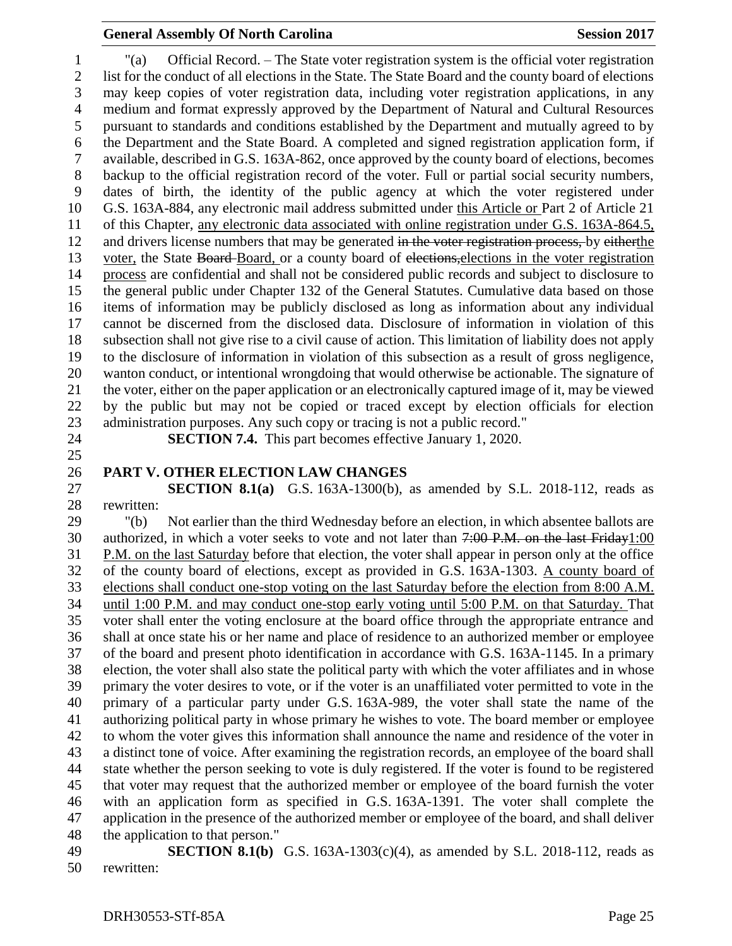"(a) Official Record. – The State voter registration system is the official voter registration list for the conduct of all elections in the State. The State Board and the county board of elections may keep copies of voter registration data, including voter registration applications, in any medium and format expressly approved by the Department of Natural and Cultural Resources pursuant to standards and conditions established by the Department and mutually agreed to by the Department and the State Board. A completed and signed registration application form, if available, described in G.S. 163A-862, once approved by the county board of elections, becomes backup to the official registration record of the voter. Full or partial social security numbers, dates of birth, the identity of the public agency at which the voter registered under G.S. 163A-884, any electronic mail address submitted under this Article or Part 2 of Article 21 of this Chapter, any electronic data associated with online registration under G.S. 163A-864.5, 12 and drivers license numbers that may be generated in the voter registration process, by eitherthe 13 voter, the State Board-Board, or a county board of elections, elections in the voter registration process are confidential and shall not be considered public records and subject to disclosure to the general public under Chapter 132 of the General Statutes. Cumulative data based on those items of information may be publicly disclosed as long as information about any individual cannot be discerned from the disclosed data. Disclosure of information in violation of this subsection shall not give rise to a civil cause of action. This limitation of liability does not apply to the disclosure of information in violation of this subsection as a result of gross negligence, wanton conduct, or intentional wrongdoing that would otherwise be actionable. The signature of the voter, either on the paper application or an electronically captured image of it, may be viewed by the public but may not be copied or traced except by election officials for election administration purposes. Any such copy or tracing is not a public record."

- 
- 

#### **SECTION 7.4.** This part becomes effective January 1, 2020.

#### **PART V. OTHER ELECTION LAW CHANGES**

 **SECTION 8.1(a)** G.S. 163A-1300(b), as amended by S.L. 2018-112, reads as rewritten:

 "(b) Not earlier than the third Wednesday before an election, in which absentee ballots are 30 authorized, in which a voter seeks to vote and not later than  $7:00$  P.M. on the last Friday 1:00 P.M. on the last Saturday before that election, the voter shall appear in person only at the office of the county board of elections, except as provided in G.S. 163A-1303. A county board of elections shall conduct one-stop voting on the last Saturday before the election from 8:00 A.M. until 1:00 P.M. and may conduct one-stop early voting until 5:00 P.M. on that Saturday. That voter shall enter the voting enclosure at the board office through the appropriate entrance and shall at once state his or her name and place of residence to an authorized member or employee of the board and present photo identification in accordance with G.S. 163A-1145. In a primary election, the voter shall also state the political party with which the voter affiliates and in whose primary the voter desires to vote, or if the voter is an unaffiliated voter permitted to vote in the primary of a particular party under G.S. 163A-989, the voter shall state the name of the authorizing political party in whose primary he wishes to vote. The board member or employee to whom the voter gives this information shall announce the name and residence of the voter in a distinct tone of voice. After examining the registration records, an employee of the board shall state whether the person seeking to vote is duly registered. If the voter is found to be registered that voter may request that the authorized member or employee of the board furnish the voter with an application form as specified in G.S. 163A-1391. The voter shall complete the application in the presence of the authorized member or employee of the board, and shall deliver the application to that person."

 **SECTION 8.1(b)** G.S. 163A-1303(c)(4), as amended by S.L. 2018-112, reads as rewritten: